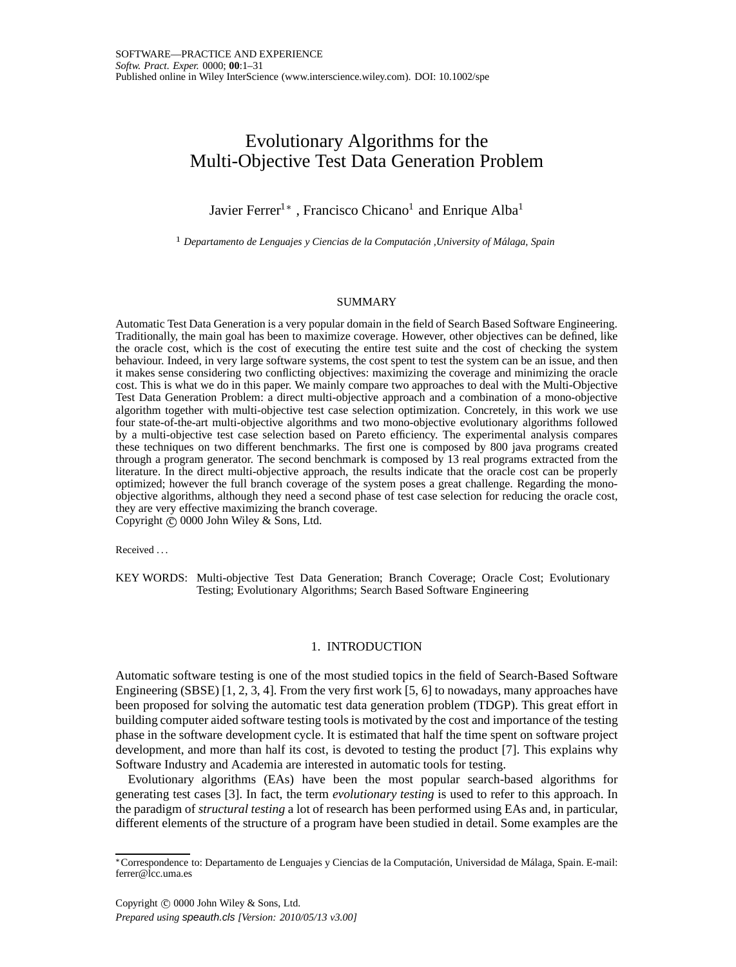# Evolutionary Algorithms for the Multi-Objective Test Data Generation Problem

Javier Ferrer<sup>1\*</sup>, Francisco Chicano<sup>1</sup> and Enrique Alba<sup>1</sup>

<sup>1</sup> Departamento de Lenguajes y Ciencias de la Computación , University of Málaga, Spain

## SUMMARY

Automatic Test Data Generation is a very popular domain in the field of Search Based Software Engineering. Traditionally, the main goal has been to maximize coverage. However, other objectives can be defined, like the oracle cost, which is the cost of executing the entire test suite and the cost of checking the system behaviour. Indeed, in very large software systems, the cost spent to test the system can be an issue, and then it makes sense considering two conflicting objectives: maximizing the coverage and minimizing the oracle cost. This is what we do in this paper. We mainly compare two approaches to deal with the Multi-Objective Test Data Generation Problem: a direct multi-objective approach and a combination of a mono-objective algorithm together with multi-objective test case selection optimization. Concretely, in this work we use four state-of-the-art multi-objective algorithms and two mono-objective evolutionary algorithms followed by a multi-objective test case selection based on Pareto efficiency. The experimental analysis compares these techniques on two different benchmarks. The first one is composed by 800 java programs created through a program generator. The second benchmark is composed by 13 real programs extracted from the literature. In the direct multi-objective approach, the results indicate that the oracle cost can be properly optimized; however the full branch coverage of the system poses a great challenge. Regarding the monoobjective algorithms, although they need a second phase of test case selection for reducing the oracle cost, they are very effective maximizing the branch coverage.

Copyright  $\odot$  0000 John Wiley & Sons, Ltd.

Received . . .

KEY WORDS: Multi-objective Test Data Generation; Branch Coverage; Oracle Cost; Evolutionary Testing; Evolutionary Algorithms; Search Based Software Engineering

# 1. INTRODUCTION

Automatic software testing is one of the most studied topics in the field of Search-Based Software Engineering (SBSE) [1, 2, 3, 4]. From the very first work [5, 6] to nowadays, many approaches have been proposed for solving the automatic test data generation problem (TDGP). This great effort in building computer aided software testing tools is motivated by the cost and importance of the testing phase in the software development cycle. It is estimated that half the time spent on software project development, and more than half its cost, is devoted to testing the product [7]. This explains why Software Industry and Academia are interested in automatic tools for testing.

Evolutionary algorithms (EAs) have been the most popular search-based algorithms for generating test cases [3]. In fact, the term *evolutionary testing* is used to refer to this approach. In the paradigm of *structural testing* a lot of research has been performed using EAs and, in particular, different elements of the structure of a program have been studied in detail. Some examples are the

<sup>\*</sup>Correspondence to: Departamento de Lenguajes y Ciencias de la Computación, Universidad de Málaga, Spain. E-mail: ferrer@lcc.uma.es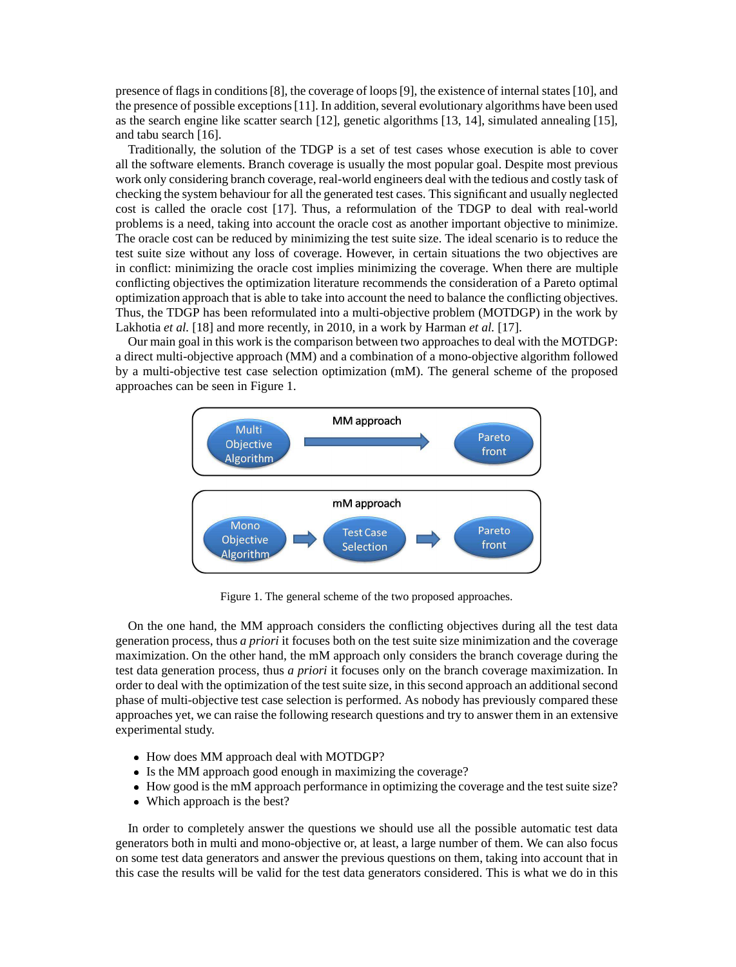presence of flags in conditions [8], the coverage of loops [9], the existence of internal states [10], and the presence of possible exceptions [11]. In addition, several evolutionary algorithms have been used as the search engine like scatter search [12], genetic algorithms [13, 14], simulated annealing [15], and tabu search [16].

Traditionally, the solution of the TDGP is a set of test cases whose execution is able to cover all the software elements. Branch coverage is usually the most popular goal. Despite most previous work only considering branch coverage, real-world engineers deal with the tedious and costly task of checking the system behaviour for all the generated test cases. This significant and usually neglected cost is called the oracle cost [17]. Thus, a reformulation of the TDGP to deal with real-world problems is a need, taking into account the oracle cost as another important objective to minimize. The oracle cost can be reduced by minimizing the test suite size. The ideal scenario is to reduce the test suite size without any loss of coverage. However, in certain situations the two objectives are in conflict: minimizing the oracle cost implies minimizing the coverage. When there are multiple conflicting objectives the optimization literature recommends the consideration of a Pareto optimal optimization approach that is able to take into account the need to balance the conflicting objectives. Thus, the TDGP has been reformulated into a multi-objective problem (MOTDGP) in the work by Lakhotia *et al.* [18] and more recently, in 2010, in a work by Harman *et al.* [17].

Our main goal in this work is the comparison between two approaches to deal with the MOTDGP: a direct multi-objective approach (MM) and a combination of a mono-objective algorithm followed by a multi-objective test case selection optimization (mM). The general scheme of the proposed approaches can be seen in Figure 1.



Figure 1. The general scheme of the two proposed approaches.

On the one hand, the MM approach considers the conflicting objectives during all the test data generation process, thus *a priori* it focuses both on the test suite size minimization and the coverage maximization. On the other hand, the mM approach only considers the branch coverage during the test data generation process, thus *a priori* it focuses only on the branch coverage maximization. In order to deal with the optimization of the test suite size, in this second approach an additional second phase of multi-objective test case selection is performed. As nobody has previously compared these approaches yet, we can raise the following research questions and try to answer them in an extensive experimental study.

- How does MM approach deal with MOTDGP?
- Is the MM approach good enough in maximizing the coverage?
- How good is the mM approach performance in optimizing the coverage and the test suite size?
- Which approach is the best?

In order to completely answer the questions we should use all the possible automatic test data generators both in multi and mono-objective or, at least, a large number of them. We can also focus on some test data generators and answer the previous questions on them, taking into account that in this case the results will be valid for the test data generators considered. This is what we do in this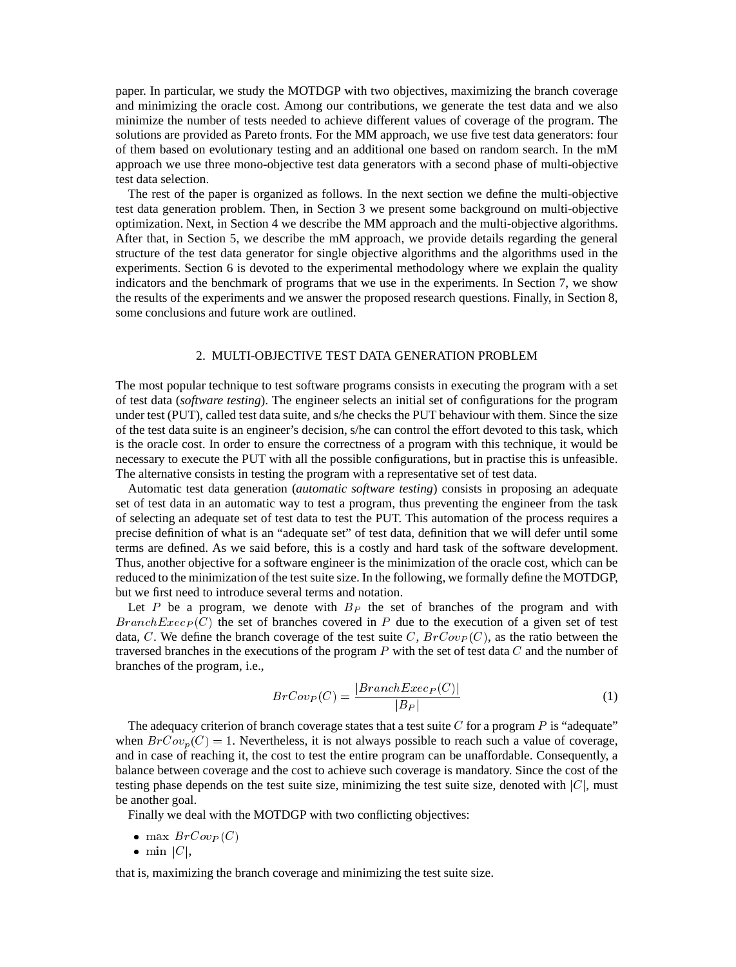paper. In particular, we study the MOTDGP with two objectives, maximizing the branch coverage and minimizing the oracle cost. Among our contributions, we generate the test data and we also minimize the number of tests needed to achieve different values of coverage of the program. The solutions are provided as Pareto fronts. For the MM approach, we use five test data generators: four of them based on evolutionary testing and an additional one based on random search. In the mM approach we use three mono-objective test data generators with a second phase of multi-objective test data selection.

The rest of the paper is organized as follows. In the next section we define the multi-objective test data generation problem. Then, in Section 3 we present some background on multi-objective optimization. Next, in Section 4 we describe the MM approach and the multi-objective algorithms. After that, in Section 5, we describe the mM approach, we provide details regarding the general structure of the test data generator for single objective algorithms and the algorithms used in the experiments. Section 6 is devoted to the experimental methodology where we explain the quality indicators and the benchmark of programs that we use in the experiments. In Section 7, we show the results of the experiments and we answer the proposed research questions. Finally, in Section 8, some conclusions and future work are outlined.

## 2. MULTI-OBJECTIVE TEST DATA GENERATION PROBLEM

The most popular technique to test software programs consists in executing the program with a set of test data (*software testing*). The engineer selects an initial set of configurations for the program under test (PUT), called test data suite, and s/he checks the PUT behaviour with them. Since the size of the test data suite is an engineer's decision, s/he can control the effort devoted to this task, which is the oracle cost. In order to ensure the correctness of a program with this technique, it would be necessary to execute the PUT with all the possible configurations, but in practise this is unfeasible. The alternative consists in testing the program with a representative set of test data.

Automatic test data generation (*automatic software testing*) consists in proposing an adequate set of test data in an automatic way to test a program, thus preventing the engineer from the task of selecting an adequate set of test data to test the PUT. This automation of the process requires a precise definition of what is an "adequate set" of test data, definition that we will defer until some terms are defined. As we said before, this is a costly and hard task of the software development. Thus, another objective for a software engineer is the minimization of the oracle cost, which can be reduced to the minimization of the test suite size. In the following, we formally define the MOTDGP, but we first need to introduce several terms and notation.

Let P be a program, we denote with  $B<sub>P</sub>$  the set of branches of the program and with  $BranchExec_P(C)$  the set of branches covered in P due to the execution of a given set of test data, C. We define the branch coverage of the test suite C,  $BrCov_{P}(C)$ , as the ratio between the traversed branches in the executions of the program  $P$  with the set of test data  $C$  and the number of branches of the program, i.e.,

$$
BrCov_P(C) = \frac{|BranchExec_P(C)|}{|B_P|}
$$
 (1)

The adequacy criterion of branch coverage states that a test suite  $C$  for a program  $P$  is "adequate" when  $BrCov_p(C) = 1$ . Nevertheless, it is not always possible to reach such a value of coverage, and in case of reaching it, the cost to test the entire program can be unaffordable. Consequently, a balance between coverage and the cost to achieve such coverage is mandatory. Since the cost of the testing phase depends on the test suite size, minimizing the test suite size, denoted with  $|C|$ , must be another goal.

Finally we deal with the MOTDGP with two conflicting objectives:

- $\bullet$  max  $\mathit{prcov}_{P(\mathcal{C})}$
- $\bullet$  min |C|,

that is, maximizing the branch coverage and minimizing the test suite size.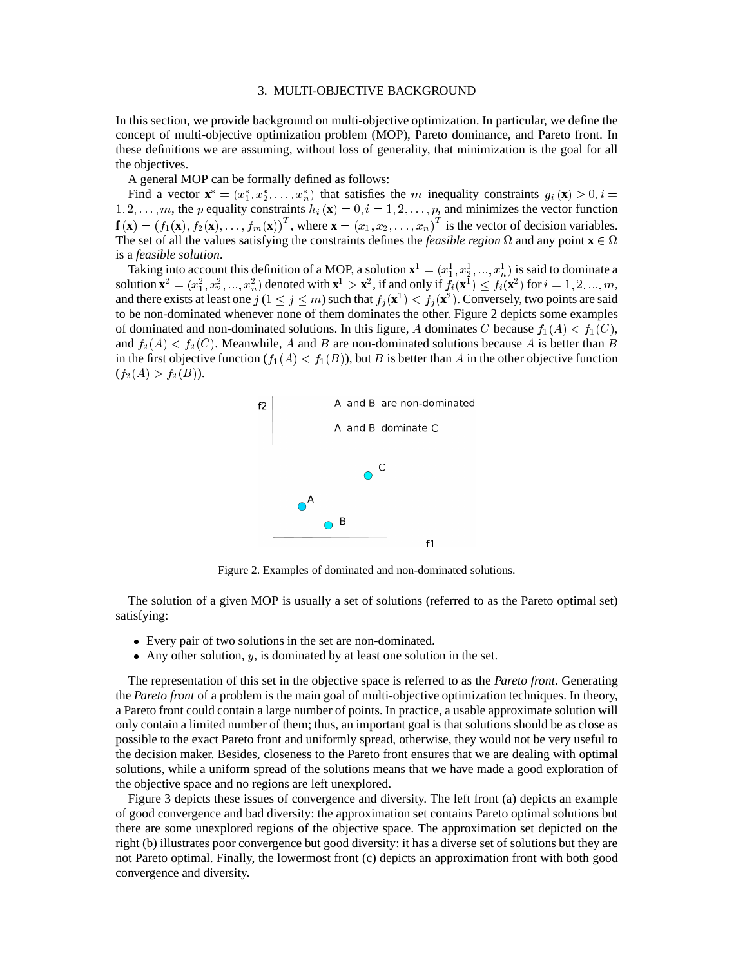In this section, we provide background on multi-objective optimization. In particular, we define the concept of multi-objective optimization problem (MOP), Pareto dominance, and Pareto front. In these definitions we are assuming, without loss of generality, that minimization is the goal for all the objectives.

A general MOP can be formally defined as follows:

Find a vector  $\mathbf{x}^* = (x_1^*, x_2^*, \dots, x_n^*)$  that satisfies the m inequality constraints  $g_i(\mathbf{x}) \geq 0, i =$ 1, 2, ..., m, the p equality constraints  $h_i$  (**x**) = 0,  $i = 1, 2, \ldots, p$ , and minimizes the vector function  $f(x) = (f_1(x), f_2(x), \ldots, f_m(x))^T$ , where  $\mathbf{x} = (x_1, x_2, \ldots, x_n)^T$  is the vector of decision variables. The set of all the values satisfying the constraints defines the *feasible region*  $\Omega$  and any point  $\mathbf{x} \in \Omega$ is a *feasible solution*.

Taking into account this definition of a MOP, a solution  $\mathbf{x}^1 = (x_1^1, x_2^1, ..., x_n^1)$  is said to dominate a solution  $\mathbf{x}^2 = (x_1^2, x_2^2, ..., x_n^2)$  denoted with  $\mathbf{x}^1 > \mathbf{x}^2$ , if and only if  $f_i(\mathbf{x}^1) \le f_i(\mathbf{x}^2)$  for  $i = 1, 2, ..., m$ , and there exists at least one  $j$   $(1 \le j \le m)$  such that  $f_j(\mathbf{x}^1) < f_j(\mathbf{x}^2)$ . Conversely, two points are said to be non-dominated whenever none of them dominates the other. Figure 2 depicts some examples of dominated and non-dominated solutions. In this figure, A dominates C because  $f_1(A) < f_1(C)$ , and  $f_2(A) < f_2(C)$ . Meanwhile, A and B are non-dominated solutions because A is better than B in the first objective function  $(f_1(A) < f_1(B))$ , but B is better than A in the other objective function  $(f_2(A) > f_2(B)).$ 



Figure 2. Examples of dominated and non-dominated solutions.

The solution of a given MOP is usually a set of solutions (referred to as the Pareto optimal set) satisfying:

- Every pair of two solutions in the set are non-dominated.
- Any other solution,  $y$ , is dominated by at least one solution in the set.

The representation of this set in the objective space is referred to as the *Pareto front*. Generating the *Pareto front* of a problem is the main goal of multi-objective optimization techniques. In theory, a Pareto front could contain a large number of points. In practice, a usable approximate solution will only contain a limited number of them; thus, an important goal is that solutions should be as close as possible to the exact Pareto front and uniformly spread, otherwise, they would not be very useful to the decision maker. Besides, closeness to the Pareto front ensures that we are dealing with optimal solutions, while a uniform spread of the solutions means that we have made a good exploration of the objective space and no regions are left unexplored.

Figure 3 depicts these issues of convergence and diversity. The left front (a) depicts an example of good convergence and bad diversity: the approximation set contains Pareto optimal solutions but there are some unexplored regions of the objective space. The approximation set depicted on the right (b) illustrates poor convergence but good diversity: it has a diverse set of solutions but they are not Pareto optimal. Finally, the lowermost front (c) depicts an approximation front with both good convergence and diversity.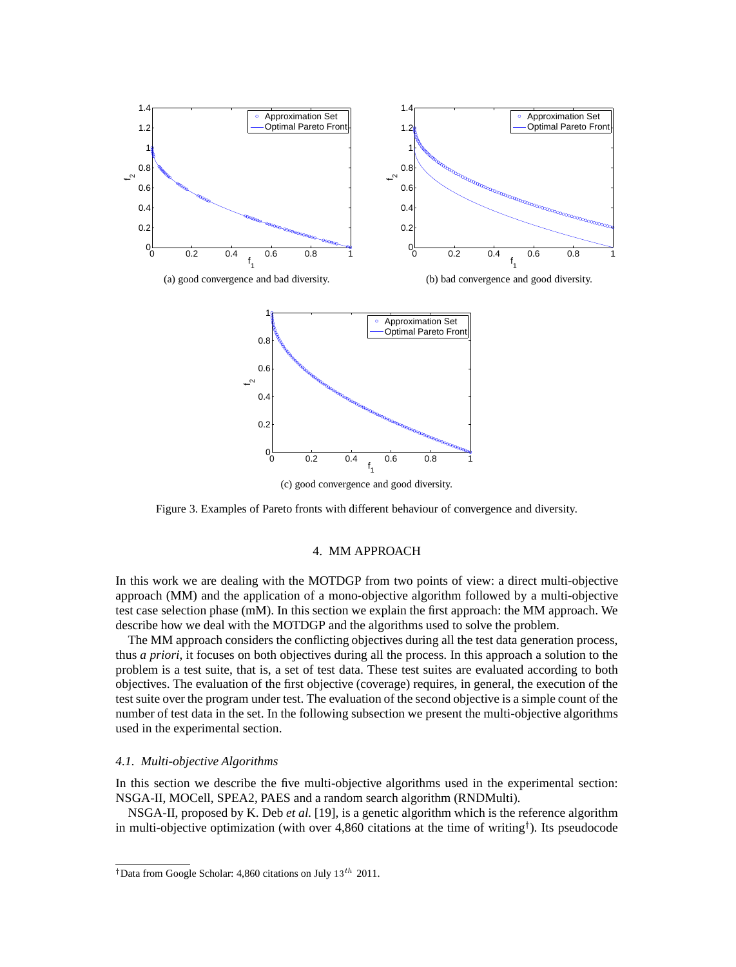

(c) good convergence and good diversity.

Figure 3. Examples of Pareto fronts with different behaviour of convergence and diversity.

## 4. MM APPROACH

In this work we are dealing with the MOTDGP from two points of view: a direct multi-objective approach (MM) and the application of a mono-objective algorithm followed by a multi-objective test case selection phase (mM). In this section we explain the first approach: the MM approach. We describe how we deal with the MOTDGP and the algorithms used to solve the problem.

The MM approach considers the conflicting objectives during all the test data generation process, thus *a priori*, it focuses on both objectives during all the process. In this approach a solution to the problem is a test suite, that is, a set of test data. These test suites are evaluated according to both objectives. The evaluation of the first objective (coverage) requires, in general, the execution of the test suite over the program under test. The evaluation of the second objective is a simple count of the number of test data in the set. In the following subsection we present the multi-objective algorithms used in the experimental section.

## *4.1. Multi-objective Algorithms*

In this section we describe the five multi-objective algorithms used in the experimental section: NSGA-II, MOCell, SPEA2, PAES and a random search algorithm (RNDMulti).

NSGA-II, proposed by K. Deb *et al.* [19], is a genetic algorithm which is the reference algorithm in multi-objective optimization (with over  $4,860$  citations at the time of writing<sup>†</sup>). Its pseudocode

<sup>&</sup>lt;sup>†</sup>Data from Google Scholar: 4,860 citations on July  $13^{th}$  2011.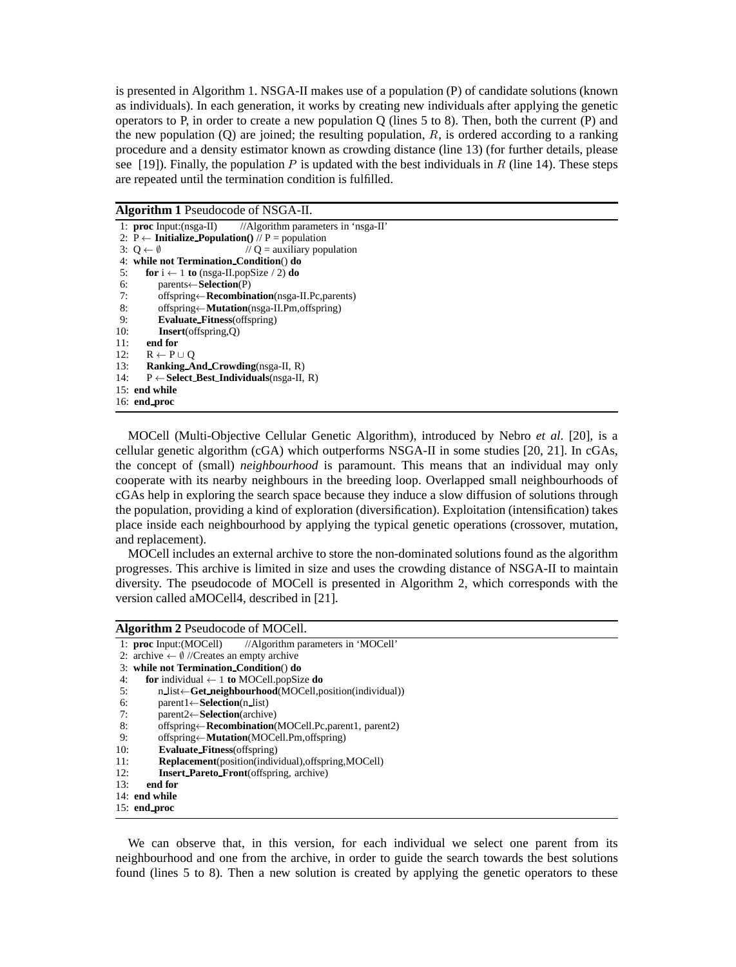is presented in Algorithm 1. NSGA-II makes use of a population (P) of candidate solutions (known as individuals). In each generation, it works by creating new individuals after applying the genetic operators to P, in order to create a new population Q (lines 5 to 8). Then, both the current (P) and the new population  $(Q)$  are joined; the resulting population,  $R$ , is ordered according to a ranking procedure and a density estimator known as crowding distance (line 13) (for further details, please see [19]). Finally, the population P is updated with the best individuals in R (line 14). These steps are repeated until the termination condition is fulfilled.

**Algorithm 1** Pseudocode of NSGA-II.

|     | 1: <b>proc</b> Input: (nsga-II) //Algorithm parameters in 'nsga-II' |
|-----|---------------------------------------------------------------------|
|     | 2: $P \leftarrow$ Initialize Population() // $P =$ population       |
|     | $\pi/2$ = auxiliary population<br>$3:0 \leftarrow \emptyset$        |
|     | 4: while not Termination Condition() do                             |
| 5:  | for $i \leftarrow 1$ to (nsga-II.popSize / 2) do                    |
| 6:  | $parents \leftarrow Selection(P)$                                   |
| 7:  | offspring $\leftarrow$ <b>Recombination</b> (nsga-II.Pc, parents)   |
| 8:  | offspring $\leftarrow$ <b>Mutation</b> (nsga-II.Pm, offspring)      |
| 9:  | <b>Evaluate_Fitness</b> (offspring)                                 |
| 10: | Insert(offspring, O)                                                |
| 11: | end for                                                             |
| 12: | $R \leftarrow P \cup O$                                             |
| 13: | <b>Ranking And Crowding</b> (nsga-II, R)                            |
| 14: | $P \leftarrow$ Select_Best_Individuals(nsga-II, R)                  |
|     | 15: end while                                                       |
|     | $16:$ end proc                                                      |
|     |                                                                     |

MOCell (Multi-Objective Cellular Genetic Algorithm), introduced by Nebro *et al*. [20], is a cellular genetic algorithm (cGA) which outperforms NSGA-II in some studies [20, 21]. In cGAs, the concept of (small) *neighbourhood* is paramount. This means that an individual may only cooperate with its nearby neighbours in the breeding loop. Overlapped small neighbourhoods of cGAs help in exploring the search space because they induce a slow diffusion of solutions through the population, providing a kind of exploration (diversification). Exploitation (intensification) takes place inside each neighbourhood by applying the typical genetic operations (crossover, mutation, and replacement).

MOCell includes an external archive to store the non-dominated solutions found as the algorithm progresses. This archive is limited in size and uses the crowding distance of NSGA-II to maintain diversity. The pseudocode of MOCell is presented in Algorithm 2, which corresponds with the version called aMOCell4, described in [21].

| <b>Algorithm 2 Pseudocode of MOCell.</b>                                    |  |  |  |  |  |
|-----------------------------------------------------------------------------|--|--|--|--|--|
| 1: proc Input: (MOCell) //Algorithm parameters in 'MOCell'                  |  |  |  |  |  |
| 2: archive $\leftarrow \emptyset$ //Creates an empty archive                |  |  |  |  |  |
| 3: while not Termination_Condition() do                                     |  |  |  |  |  |
| for individual $\leftarrow$ 1 to MOCell.popSize do<br>4:                    |  |  |  |  |  |
| $n$ list $\leftarrow$ Get neighbourhood(MOCell, position(individual))<br>5: |  |  |  |  |  |
| $parent1 \leftarrow Selection(n_list)$<br>6:                                |  |  |  |  |  |
| $parent2 \leftarrow Selection(archive)$<br>7:                               |  |  |  |  |  |
| offspring<-Recombination(MOCell.Pc,parent1, parent2)<br>8:                  |  |  |  |  |  |
| 9:<br>offspring $\leftarrow$ <b>Mutation</b> (MOCell.Pm,offspring)          |  |  |  |  |  |
| 10:<br><b>Evaluate_Fitness</b> (offspring)                                  |  |  |  |  |  |
| 11:<br>Replacement(position(individual), offspring, MOCell)                 |  |  |  |  |  |
| 12:<br><b>Insert_Pareto_Front</b> (offspring, archive)                      |  |  |  |  |  |
| 13:<br>end for                                                              |  |  |  |  |  |
| 14: end while                                                               |  |  |  |  |  |
| 15: end_proc                                                                |  |  |  |  |  |

We can observe that, in this version, for each individual we select one parent from its neighbourhood and one from the archive, in order to guide the search towards the best solutions found (lines 5 to 8). Then a new solution is created by applying the genetic operators to these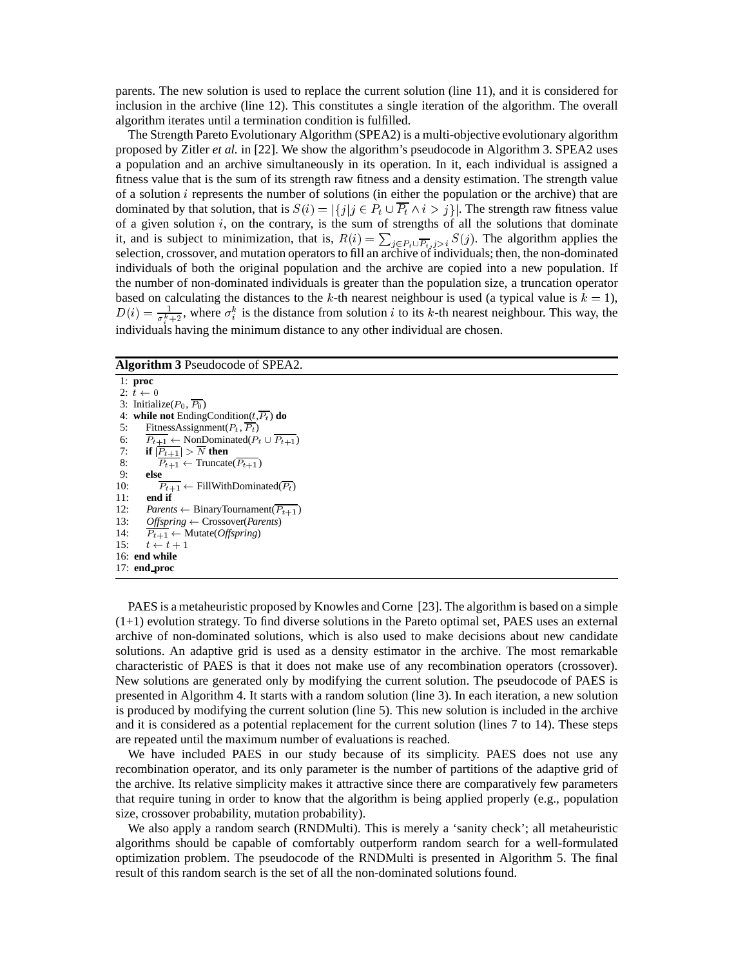parents. The new solution is used to replace the current solution (line 11), and it is considered for inclusion in the archive (line 12). This constitutes a single iteration of the algorithm. The overall algorithm iterates until a termination condition is fulfilled.

The Strength Pareto Evolutionary Algorithm (SPEA2) is a multi-objective evolutionary algorithm proposed by Zitler *et al.* in [22]. We show the algorithm's pseudocode in Algorithm 3. SPEA2 uses a population and an archive simultaneously in its operation. In it, each individual is assigned a fitness value that is the sum of its strength raw fitness and a density estimation. The strength value of a solution  $i$  represents the number of solutions (in either the population or the archive) that are dominated by that solution, that is  $S(i) = |\{j | j \in P_t \cup \overline{P_t} \land i > j\}|$ . The strength raw fitness value of a given solution  $i$ , on the contrary, is the sum of strengths of all the solutions that dominate it, and is subject to minimization, that is,  $R(i) = \sum_{j \in P_t \cup \overline{P_t}, j > i} S(j)$ . The algorithm applies the selection, crossover, and mutation operators to fill an archive of individuals; then, the non-dominated individuals of both the original population and the archive are copied into a new population. If the number of non-dominated individuals is greater than the population size, a truncation operator based on calculating the distances to the k-th nearest neighbour is used (a typical value is  $k = 1$ ),  $D(i) = \frac{1}{\sigma_i^k + 2}$ , where  $\sigma_i^k$  is the distance from solution i to its k-th nearest neighbour. This way, the individuals having the minimum distance to any other individual are chosen.

## **Algorithm 3** Pseudocode of SPEA2.

1: **proc** 2:  $t \leftarrow 0$ 3: Initialize( $P_0, \overline{P_0}$ ) 4: **while not** EndingCondition $(t,\overline{P_t})$  **do** 5: FitnessAssignment( $P_t$ ,  $\overline{P_t}$ ) 6:  $\overline{P_{t+1}} \leftarrow \text{NonDominated}(P_t \cup \overline{P_{t+1}})$ <br>7: **if**  $|\overline{P_{t+1}}| > \overline{N}$  then if  $|\overline{P_{t+1}}| > \overline{N}$  then 8:  $\overline{P_{t+1}} \leftarrow \text{Truncated}(\overline{P_{t+1}})$ <br>9: **else** 9: **else** 10:  $\overline{P_{t+1}} \leftarrow \text{FillWithDominated}(\overline{P_t})$ 11: **end if** *Parents*  $\leftarrow$  BinaryTournament( $\overline{P_{t+1}}$ ) 13: *Offspring*  $\leftarrow$  Crossover(*Parents*)<br>14:  $P_{t+1} \leftarrow$  Mutate(*Offspring*) 14:  $\overline{P_{t+1}} \leftarrow \text{Mutate}(Offspring)$ <br>15:  $t \leftarrow t + 1$  $t \leftarrow t + 1$ 16: **end while** 17: **end proc**

PAES is a metaheuristic proposed by Knowles and Corne [23]. The algorithm is based on a simple  $(1+1)$  evolution strategy. To find diverse solutions in the Pareto optimal set, PAES uses an external archive of non-dominated solutions, which is also used to make decisions about new candidate solutions. An adaptive grid is used as a density estimator in the archive. The most remarkable characteristic of PAES is that it does not make use of any recombination operators (crossover). New solutions are generated only by modifying the current solution. The pseudocode of PAES is presented in Algorithm 4. It starts with a random solution (line 3). In each iteration, a new solution is produced by modifying the current solution (line 5). This new solution is included in the archive and it is considered as a potential replacement for the current solution (lines 7 to 14). These steps are repeated until the maximum number of evaluations is reached.

We have included PAES in our study because of its simplicity. PAES does not use any recombination operator, and its only parameter is the number of partitions of the adaptive grid of the archive. Its relative simplicity makes it attractive since there are comparatively few parameters that require tuning in order to know that the algorithm is being applied properly (e.g., population size, crossover probability, mutation probability).

We also apply a random search (RNDMulti). This is merely a 'sanity check'; all metaheuristic algorithms should be capable of comfortably outperform random search for a well-formulated optimization problem. The pseudocode of the RNDMulti is presented in Algorithm 5. The final result of this random search is the set of all the non-dominated solutions found.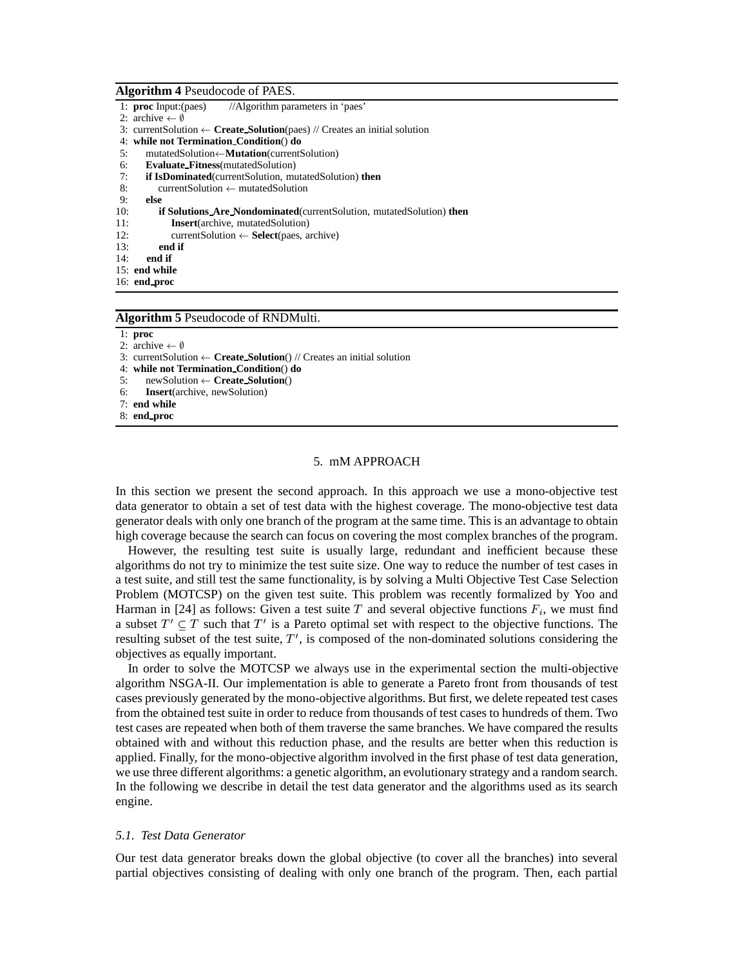#### **Algorithm 4** Pseudocode of PAES.

|     | //Algorithm parameters in 'paes'<br>1: $proc Input:(paes)$                             |
|-----|----------------------------------------------------------------------------------------|
|     | 2: archive $\leftarrow \emptyset$                                                      |
|     | 3: current Solution $\leftarrow$ Create Solution (paes) // Creates an initial solution |
|     | 4: while not Termination Condition() do                                                |
| 5:  | $mutatedSolution \leftarrow \textbf{Mutation}$ (currentSolution)                       |
| 6:  | <b>Evaluate_Fitness</b> (mutatedSolution)                                              |
| 7:  | <b>if IsDominated</b> (current Solution, mutated Solution) then                        |
| 8:  | $currentSolution \leftarrow mutatedSolution$                                           |
| 9:  | else                                                                                   |
| 10: | <b>if Solutions_Are_Nondominated</b> (currentSolution, mutatedSolution) <b>then</b>    |
| 11: | <b>Insert</b> (archive, mutatedSolution)                                               |
| 12: | current Solution $\leftarrow$ Select(paes, archive)                                    |
| 13: | end if                                                                                 |
| 14: | end if                                                                                 |
|     | 15: end while                                                                          |

16: **end proc**

#### **Algorithm 5** Pseudocode of RNDMulti.

```
1: proc
```
- 2: archive  $\leftarrow \emptyset$
- 3: currentSolution  $\leftarrow$  **Create\_Solution**() // Creates an initial solution
- 4: **while not Termination Condition**() **do**
- 5: newSolution **Create Solution**()
- 6: **Insert**(archive, newSolution)
- 7: **end while**
- 8: **end proc**

## 5. mM APPROACH

In this section we present the second approach. In this approach we use a mono-objective test data generator to obtain a set of test data with the highest coverage. The mono-objective test data generator deals with only one branch of the program at the same time. This is an advantage to obtain high coverage because the search can focus on covering the most complex branches of the program.

However, the resulting test suite is usually large, redundant and inefficient because these algorithms do not try to minimize the test suite size. One way to reduce the number of test cases in a test suite, and still test the same functionality, is by solving a Multi Objective Test Case Selection Problem (MOTCSP) on the given test suite. This problem was recently formalized by Yoo and Harman in [24] as follows: Given a test suite T and several objective functions  $F_i$ , we must find a subset  $T' \subseteq T$  such that T' is a Pareto optimal set with respect to the objective functions. The resulting subset of the test suite,  $T'$ , is composed of the non-dominated solutions considering the objectives as equally important.

In order to solve the MOTCSP we always use in the experimental section the multi-objective algorithm NSGA-II. Our implementation is able to generate a Pareto front from thousands of test cases previously generated by the mono-objective algorithms. But first, we delete repeated test cases from the obtained test suite in order to reduce from thousands of test cases to hundreds of them. Two test cases are repeated when both of them traverse the same branches. We have compared the results obtained with and without this reduction phase, and the results are better when this reduction is applied. Finally, for the mono-objective algorithm involved in the first phase of test data generation, we use three different algorithms: a genetic algorithm, an evolutionary strategy and a random search. In the following we describe in detail the test data generator and the algorithms used as its search engine.

## *5.1. Test Data Generator*

Our test data generator breaks down the global objective (to cover all the branches) into several partial objectives consisting of dealing with only one branch of the program. Then, each partial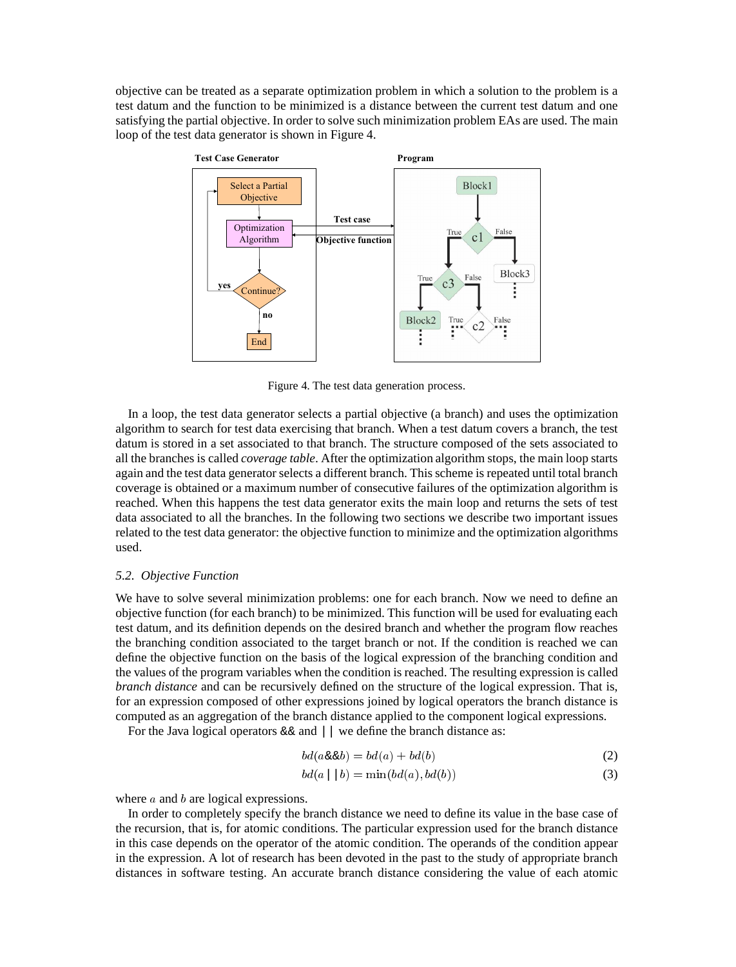objective can be treated as a separate optimization problem in which a solution to the problem is a test datum and the function to be minimized is a distance between the current test datum and one satisfying the partial objective. In order to solve such minimization problem EAs are used. The main loop of the test data generator is shown in Figure 4.



Figure 4. The test data generation process.

In a loop, the test data generator selects a partial objective (a branch) and uses the optimization algorithm to search for test data exercising that branch. When a test datum covers a branch, the test datum is stored in a set associated to that branch. The structure composed of the sets associated to all the branches is called *coverage table*. After the optimization algorithm stops, the main loop starts again and the test data generator selects a different branch. This scheme is repeated until total branch coverage is obtained or a maximum number of consecutive failures of the optimization algorithm is reached. When this happens the test data generator exits the main loop and returns the sets of test data associated to all the branches. In the following two sections we describe two important issues related to the test data generator: the objective function to minimize and the optimization algorithms used.

## *5.2. Objective Function*

We have to solve several minimization problems: one for each branch. Now we need to define an objective function (for each branch) to be minimized. This function will be used for evaluating each test datum, and its definition depends on the desired branch and whether the program flow reaches the branching condition associated to the target branch or not. If the condition is reached we can define the objective function on the basis of the logical expression of the branching condition and the values of the program variables when the condition is reached. The resulting expression is called *branch distance* and can be recursively defined on the structure of the logical expression. That is, for an expression composed of other expressions joined by logical operators the branch distance is computed as an aggregation of the branch distance applied to the component logical expressions.

For the Java logical operators  $\&\&$  and  $||\&\&$  define the branch distance as:

$$
bd(a\&\&b) = bd(a) + bd(b)
$$
\n(2)

$$
bd(a \mid \mid b) = \min(bd(a), bd(b))\tag{3}
$$

where *a* and *b* are logical expressions.

In order to completely specify the branch distance we need to define its value in the base case of the recursion, that is, for atomic conditions. The particular expression used for the branch distance in this case depends on the operator of the atomic condition. The operands of the condition appear in the expression. A lot of research has been devoted in the past to the study of appropriate branch distances in software testing. An accurate branch distance considering the value of each atomic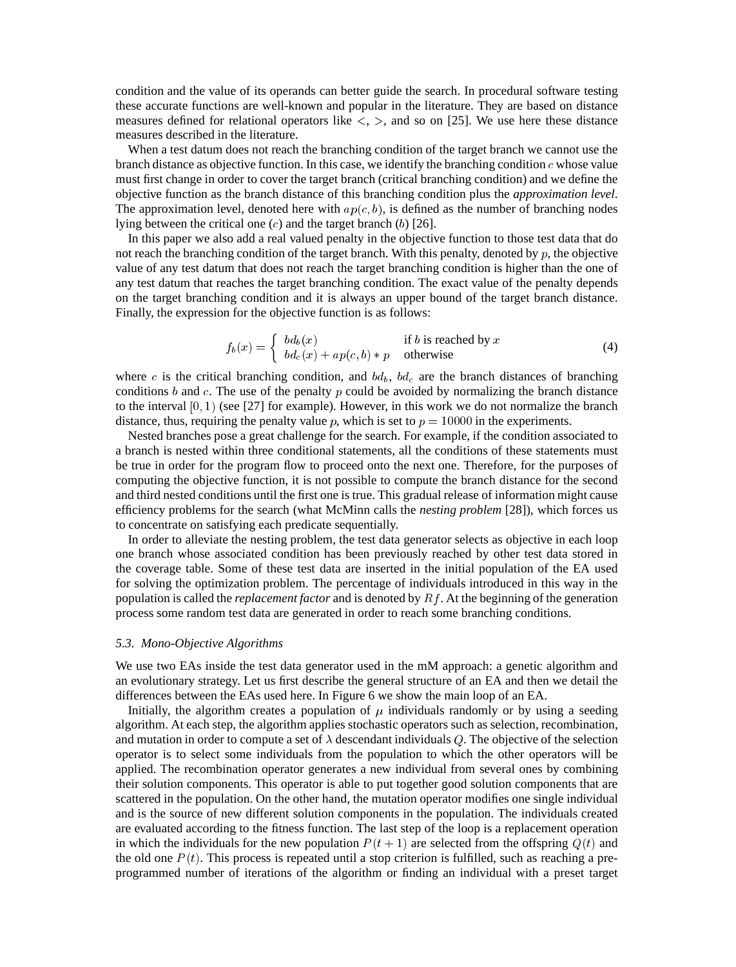condition and the value of its operands can better guide the search. In procedural software testing these accurate functions are well-known and popular in the literature. They are based on distance measures defined for relational operators like  $\langle \rangle$ , and so on [25]. We use here these distance measures described in the literature.

When a test datum does not reach the branching condition of the target branch we cannot use the branch distance as objective function. In this case, we identify the branching condition  $c$  whose value must first change in order to cover the target branch (critical branching condition) and we define the objective function as the branch distance of this branching condition plus the *approximation level*. The approximation level, denoted here with  $ap(c, b)$ , is defined as the number of branching nodes lying between the critical one  $(c)$  and the target branch  $(b)$  [26].

In this paper we also add a real valued penalty in the objective function to those test data that do not reach the branching condition of the target branch. With this penalty, denoted by  $p$ , the objective value of any test datum that does not reach the target branching condition is higher than the one of any test datum that reaches the target branching condition. The exact value of the penalty depends on the target branching condition and it is always an upper bound of the target branch distance. Finally, the expression for the objective function is as follows:

$$
f_b(x) = \begin{cases} bd_b(x) & \text{if } b \text{ is reached by } x \\ bd_c(x) + ap(c, b) * p & \text{otherwise} \end{cases}
$$
 (4)

where c is the critical branching condition, and  $bd_b$ ,  $bd_c$  are the branch distances of branching conditions  $b$  and  $c$ . The use of the penalty  $p$  could be avoided by normalizing the branch distance to the interval  $[0,1)$  (see  $[27]$  for example). However, in this work we do not normalize the branch distance, thus, requiring the penalty value p, which is set to  $p = 10000$  in the experiments.

Nested branches pose a great challenge for the search. For example, if the condition associated to a branch is nested within three conditional statements, all the conditions of these statements must be true in order for the program flow to proceed onto the next one. Therefore, for the purposes of computing the objective function, it is not possible to compute the branch distance for the second and third nested conditions until the first one is true. This gradual release of information might cause efficiency problems for the search (what McMinn calls the *nesting problem* [28]), which forces us to concentrate on satisfying each predicate sequentially.

In order to alleviate the nesting problem, the test data generator selects as objective in each loop one branch whose associated condition has been previously reached by other test data stored in the coverage table. Some of these test data are inserted in the initial population of the EA used for solving the optimization problem. The percentage of individuals introduced in this way in the population is called the *replacement factor* and is denoted by Rf . At the beginning of the generation process some random test data are generated in order to reach some branching conditions.

#### *5.3. Mono-Objective Algorithms*

We use two EAs inside the test data generator used in the mM approach: a genetic algorithm and an evolutionary strategy. Let us first describe the general structure of an EA and then we detail the differences between the EAs used here. In Figure 6 we show the main loop of an EA.

Initially, the algorithm creates a population of  $\mu$  individuals randomly or by using a seeding algorithm. At each step, the algorithm applies stochastic operators such as selection, recombination, and mutation in order to compute a set of  $\lambda$  descendant individuals Q. The objective of the selection operator is to select some individuals from the population to which the other operators will be applied. The recombination operator generates a new individual from several ones by combining their solution components. This operator is able to put together good solution components that are scattered in the population. On the other hand, the mutation operator modifies one single individual and is the source of new different solution components in the population. The individuals created are evaluated according to the fitness function. The last step of the loop is a replacement operation in which the individuals for the new population  $P(t + 1)$  are selected from the offspring  $Q(t)$  and the old one  $P(t)$ . This process is repeated until a stop criterion is fulfilled, such as reaching a preprogrammed number of iterations of the algorithm or finding an individual with a preset target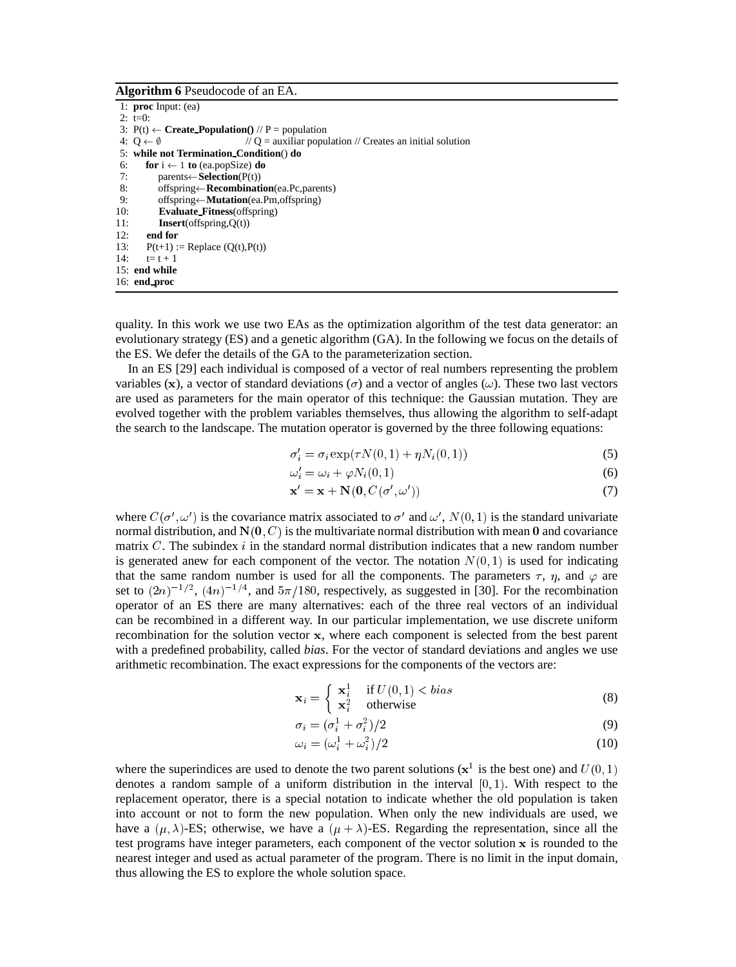#### **Algorithm 6** Pseudocode of an EA.

|     | 1: <b>proc</b> Input: $(ea)$                                                               |
|-----|--------------------------------------------------------------------------------------------|
|     | 2: $t=0$ :                                                                                 |
|     | 3: $P(t) \leftarrow$ <b>Create Population</b> () // $P =$ population                       |
|     | // $Q =$ auxiliar population // Creates an initial solution<br>4: $O \leftarrow \emptyset$ |
|     | 5: while not Termination Condition() do                                                    |
| 6:  | for $i \leftarrow 1$ to (ea.popSize) do                                                    |
| 7:  | $parents \leftarrow \textbf{Selection}(P(t))$                                              |
| 8:  | offspring $\leftarrow$ <b>Recombination</b> (ea. Pc, parents)                              |
| 9:  | offspring $\leftarrow$ <b>Mutation</b> (ea.Pm, offspring)                                  |
| 10: | <b>Evaluate_Fitness</b> (offspring)                                                        |
| 11: | Insert(offspring, O(t))                                                                    |
| 12: | end for                                                                                    |
| 13: | $P(t+1) := \text{Replace } (Q(t), P(t))$                                                   |
| 14: | $t = t + 1$                                                                                |
|     | 15: end while                                                                              |
|     | 16: end proc                                                                               |

quality. In this work we use two EAs as the optimization algorithm of the test data generator: an evolutionary strategy (ES) and a genetic algorithm (GA). In the following we focus on the details of the ES. We defer the details of the GA to the parameterization section.

In an ES [29] each individual is composed of a vector of real numbers representing the problem variables (x), a vector of standard deviations ( $\sigma$ ) and a vector of angles ( $\omega$ ). These two last vectors are used as parameters for the main operator of this technique: the Gaussian mutation. They are evolved together with the problem variables themselves, thus allowing the algorithm to self-adapt the search to the landscape. The mutation operator is governed by the three following equations:

$$
\sigma_i' = \sigma_i \exp(\tau N(0, 1) + \eta N_i(0, 1))
$$
\n(5)

$$
\omega_i' = \omega_i + \varphi N_i(0,1) \tag{6}
$$

$$
\mathbf{x}' = \mathbf{x} + \mathbf{N}(\mathbf{0}, C(\sigma', \omega')) \tag{7}
$$

where  $C(\sigma', \omega')$  is the covariance matrix associated to  $\sigma'$  and  $\omega'$ ,  $N(0, 1)$  is the standard univariate normal distribution, and  $N(0, C)$  is the multivariate normal distribution with mean 0 and covariance matrix  $C$ . The subindex  $i$  in the standard normal distribution indicates that a new random number is generated anew for each component of the vector. The notation  $N(0, 1)$  is used for indicating that the same random number is used for all the components. The parameters  $\tau$ ,  $\eta$ , and  $\varphi$  are set to  $(2n)^{-1/2}$ ,  $(4n)^{-1/4}$ , and  $5\pi/180$ , respectively, as suggested in [30]. For the recombination operator of an ES there are many alternatives: each of the three real vectors of an individual can be recombined in a different way. In our particular implementation, we use discrete uniform recombination for the solution vector <sup>x</sup>, where each component is selected from the best parent with a predefined probability, called *bias*. For the vector of standard deviations and angles we use arithmetic recombination. The exact expressions for the components of the vectors are:

$$
\mathbf{x}_{i} = \begin{cases} \mathbf{x}_{i}^{1} & \text{if } U(0,1) < bias \\ \mathbf{x}_{i}^{2} & \text{otherwise} \end{cases}
$$
 (8)

$$
\sigma_i = (\sigma_i^1 + \sigma_i^2)/2 \tag{9}
$$

$$
\omega_i = (\omega_i^1 + \omega_i^2)/2 \tag{10}
$$

where the superindices are used to denote the two parent solutions ( $x^1$  is the best one) and  $U(0, 1)$ denotes a random sample of a uniform distribution in the interval  $[0, 1)$ . With respect to the replacement operator, there is a special notation to indicate whether the old population is taken into account or not to form the new population. When only the new individuals are used, we have a  $(\mu, \lambda)$ -ES; otherwise, we have a  $(\mu + \lambda)$ -ES. Regarding the representation, since all the test programs have integer parameters, each component of the vector solution <sup>x</sup> is rounded to the nearest integer and used as actual parameter of the program. There is no limit in the input domain, thus allowing the ES to explore the whole solution space.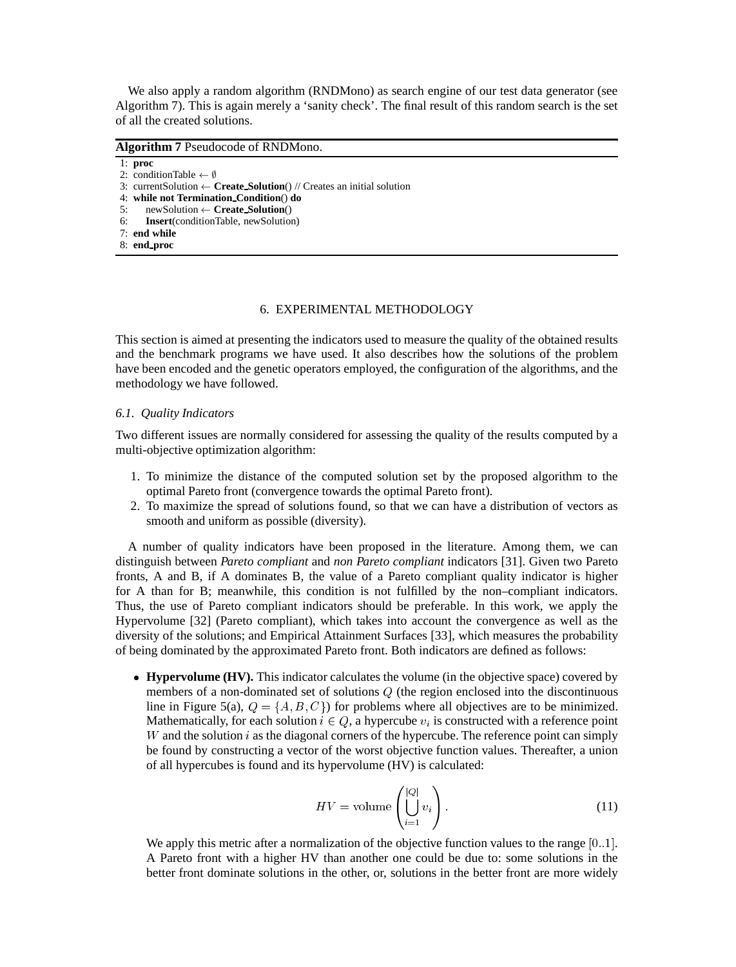We also apply a random algorithm (RNDMono) as search engine of our test data generator (see Algorithm 7). This is again merely a 'sanity check'. The final result of this random search is the set of all the created solutions.

**Algorithm 7** Pseudocode of RNDMono.

|    | $1:$ proc                                                                        |
|----|----------------------------------------------------------------------------------|
|    | 2: conditionTable $\leftarrow \emptyset$                                         |
|    | 3: currentSolution $\leftarrow$ Create Solution() // Creates an initial solution |
|    | 4: while not Termination_Condition() do                                          |
|    | 5: new Solution $\leftarrow$ Create Solution()                                   |
| 6: | <b>Insert</b> (conditionTable, newSolution)                                      |
|    | $7:$ end while                                                                   |
|    | 8: end_proc                                                                      |

## 6. EXPERIMENTAL METHODOLOGY

This section is aimed at presenting the indicators used to measure the quality of the obtained results and the benchmark programs we have used. It also describes how the solutions of the problem have been encoded and the genetic operators employed, the configuration of the algorithms, and the methodology we have followed.

## *6.1. Quality Indicators*

Two different issues are normally considered for assessing the quality of the results computed by a multi-objective optimization algorithm:

- 1. To minimize the distance of the computed solution set by the proposed algorithm to the optimal Pareto front (convergence towards the optimal Pareto front).
- 2. To maximize the spread of solutions found, so that we can have a distribution of vectors as smooth and uniform as possible (diversity).

A number of quality indicators have been proposed in the literature. Among them, we can distinguish between *Pareto compliant* and *non Pareto compliant* indicators [31]. Given two Pareto fronts, A and B, if A dominates B, the value of a Pareto compliant quality indicator is higher for A than for B; meanwhile, this condition is not fulfilled by the non–compliant indicators. Thus, the use of Pareto compliant indicators should be preferable. In this work, we apply the Hypervolume [32] (Pareto compliant), which takes into account the convergence as well as the diversity of the solutions; and Empirical Attainment Surfaces [33], which measures the probability of being dominated by the approximated Pareto front. Both indicators are defined as follows:

 **Hypervolume (HV).** This indicator calculates the volume (in the objective space) covered by members of a non-dominated set of solutions  $Q$  (the region enclosed into the discontinuous line in Figure 5(a),  $Q = \{A, B, C\}$  for problems where all objectives are to be minimized. Mathematically, for each solution  $i \in Q$ , a hypercube  $v_i$  is constructed with a reference point W and the solution  $i$  as the diagonal corners of the hypercube. The reference point can simply be found by constructing a vector of the worst objective function values. Thereafter, a union of all hypercubes is found and its hypervolume (HV) is calculated:

$$
HV = \text{volume}\left(\bigcup_{i=1}^{|Q|} v_i\right). \tag{11}
$$

We apply this metric after a normalization of the objective function values to the range  $[0..1]$ . A Pareto front with a higher HV than another one could be due to: some solutions in the better front dominate solutions in the other, or, solutions in the better front are more widely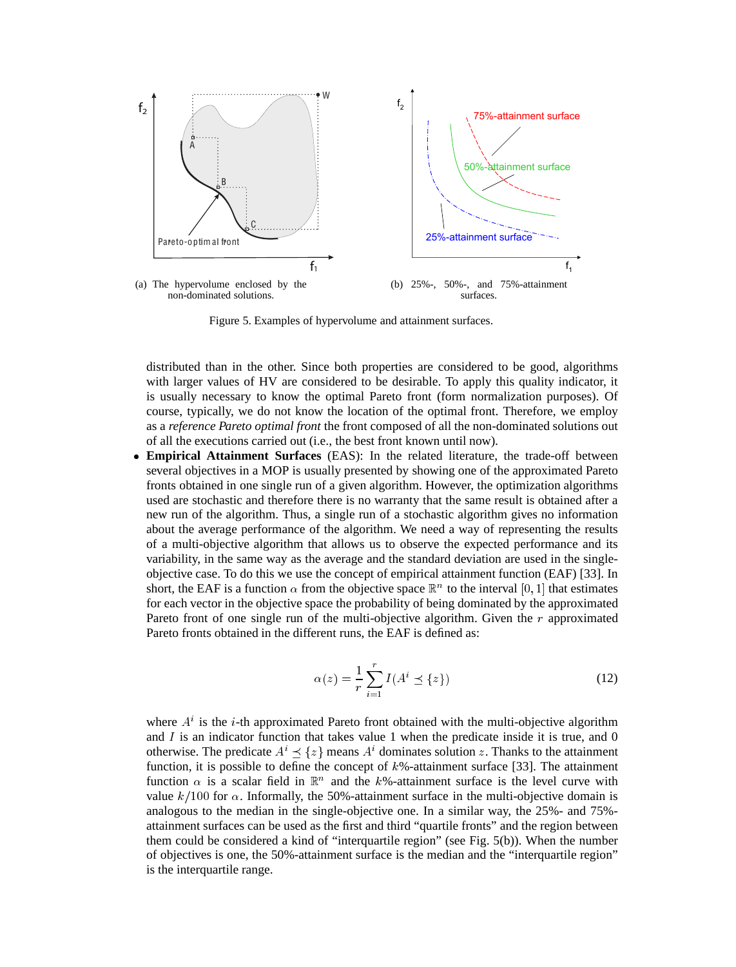

Figure 5. Examples of hypervolume and attainment surfaces.

distributed than in the other. Since both properties are considered to be good, algorithms with larger values of HV are considered to be desirable. To apply this quality indicator, it is usually necessary to know the optimal Pareto front (form normalization purposes). Of course, typically, we do not know the location of the optimal front. Therefore, we employ as a *reference Pareto optimal front* the front composed of all the non-dominated solutions out of all the executions carried out (i.e., the best front known until now).

 **Empirical Attainment Surfaces** (EAS): In the related literature, the trade-off between several objectives in a MOP is usually presented by showing one of the approximated Pareto fronts obtained in one single run of a given algorithm. However, the optimization algorithms used are stochastic and therefore there is no warranty that the same result is obtained after a new run of the algorithm. Thus, a single run of a stochastic algorithm gives no information about the average performance of the algorithm. We need a way of representing the results of a multi-objective algorithm that allows us to observe the expected performance and its variability, in the same way as the average and the standard deviation are used in the singleobjective case. To do this we use the concept of empirical attainment function (EAF) [33]. In short, the EAF is a function  $\alpha$  from the objective space  $\mathbb{R}^n$  to the interval [0, 1] that estimates for each vector in the objective space the probability of being dominated by the approximated Pareto front of one single run of the multi-objective algorithm. Given the  $r$  approximated Pareto fronts obtained in the different runs, the EAF is defined as:

$$
\alpha(z) = \frac{1}{r} \sum_{i=1}^{r} I(A^i \le \{z\})
$$
\n(12)

where  $A<sup>i</sup>$  is the *i*-th approximated Pareto front obtained with the multi-objective algorithm and  $I$  is an indicator function that takes value 1 when the predicate inside it is true, and 0 otherwise. The predicate  $A^i \leq \{z\}$  means  $A^i$  dominates solution z. Thanks to the attainment function, it is possible to define the concept of  $k\%$ -attainment surface [33]. The attainment function  $\alpha$  is a scalar field in  $\mathbb{R}^n$  and the k%-attainment surface is the level curve with value  $k/100$  for  $\alpha$ . Informally, the 50%-attainment surface in the multi-objective domain is analogous to the median in the single-objective one. In a similar way, the 25%- and 75% attainment surfaces can be used as the first and third "quartile fronts" and the region between them could be considered a kind of "interquartile region" (see Fig. 5(b)). When the number of objectives is one, the 50%-attainment surface is the median and the "interquartile region" is the interquartile range.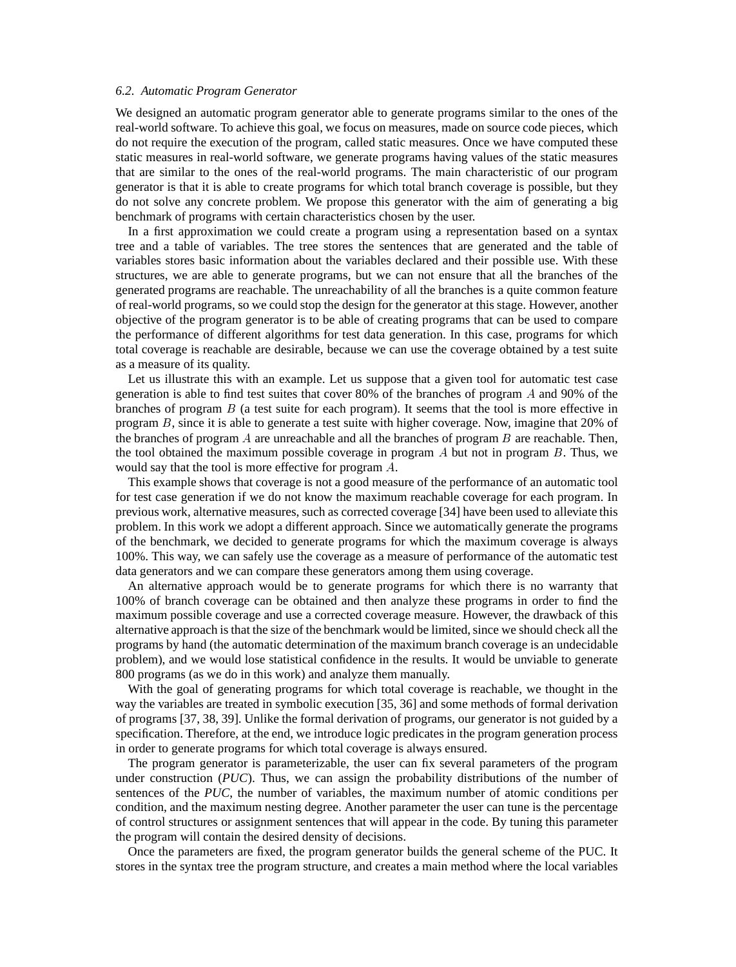## *6.2. Automatic Program Generator*

We designed an automatic program generator able to generate programs similar to the ones of the real-world software. To achieve this goal, we focus on measures, made on source code pieces, which do not require the execution of the program, called static measures. Once we have computed these static measures in real-world software, we generate programs having values of the static measures that are similar to the ones of the real-world programs. The main characteristic of our program generator is that it is able to create programs for which total branch coverage is possible, but they do not solve any concrete problem. We propose this generator with the aim of generating a big benchmark of programs with certain characteristics chosen by the user.

In a first approximation we could create a program using a representation based on a syntax tree and a table of variables. The tree stores the sentences that are generated and the table of variables stores basic information about the variables declared and their possible use. With these structures, we are able to generate programs, but we can not ensure that all the branches of the generated programs are reachable. The unreachability of all the branches is a quite common feature of real-world programs, so we could stop the design for the generator at this stage. However, another objective of the program generator is to be able of creating programs that can be used to compare the performance of different algorithms for test data generation. In this case, programs for which total coverage is reachable are desirable, because we can use the coverage obtained by a test suite as a measure of its quality.

Let us illustrate this with an example. Let us suppose that a given tool for automatic test case generation is able to find test suites that cover 80% of the branches of program A and 90% of the branches of program  $B$  (a test suite for each program). It seems that the tool is more effective in program <sup>B</sup>, since it is able to generate a test suite with higher coverage. Now, imagine that 20% of the branches of program  $A$  are unreachable and all the branches of program  $B$  are reachable. Then, the tool obtained the maximum possible coverage in program  $A$  but not in program  $B$ . Thus, we would say that the tool is more effective for program A.

This example shows that coverage is not a good measure of the performance of an automatic tool for test case generation if we do not know the maximum reachable coverage for each program. In previous work, alternative measures, such as corrected coverage [34] have been used to alleviate this problem. In this work we adopt a different approach. Since we automatically generate the programs of the benchmark, we decided to generate programs for which the maximum coverage is always 100%. This way, we can safely use the coverage as a measure of performance of the automatic test data generators and we can compare these generators among them using coverage.

An alternative approach would be to generate programs for which there is no warranty that 100% of branch coverage can be obtained and then analyze these programs in order to find the maximum possible coverage and use a corrected coverage measure. However, the drawback of this alternative approach is that the size of the benchmark would be limited, since we should check all the programs by hand (the automatic determination of the maximum branch coverage is an undecidable problem), and we would lose statistical confidence in the results. It would be unviable to generate 800 programs (as we do in this work) and analyze them manually.

With the goal of generating programs for which total coverage is reachable, we thought in the way the variables are treated in symbolic execution [35, 36] and some methods of formal derivation of programs [37, 38, 39]. Unlike the formal derivation of programs, our generator is not guided by a specification. Therefore, at the end, we introduce logic predicates in the program generation process in order to generate programs for which total coverage is always ensured.

The program generator is parameterizable, the user can fix several parameters of the program under construction (*PUC*). Thus, we can assign the probability distributions of the number of sentences of the *PUC*, the number of variables, the maximum number of atomic conditions per condition, and the maximum nesting degree. Another parameter the user can tune is the percentage of control structures or assignment sentences that will appear in the code. By tuning this parameter the program will contain the desired density of decisions.

Once the parameters are fixed, the program generator builds the general scheme of the PUC. It stores in the syntax tree the program structure, and creates a main method where the local variables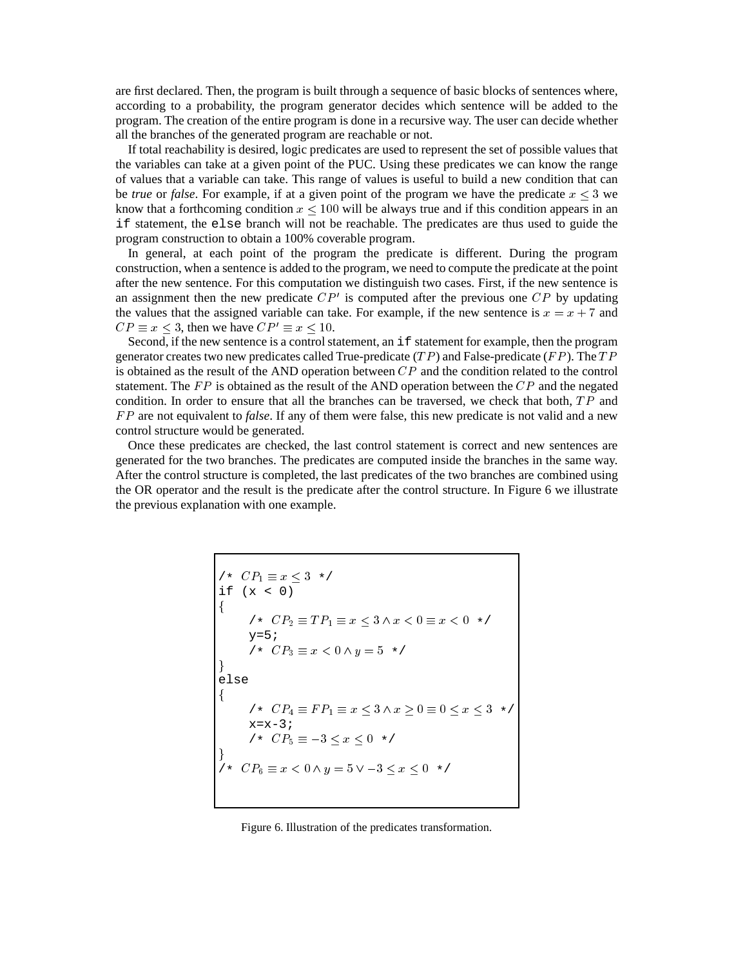are first declared. Then, the program is built through a sequence of basic blocks of sentences where, according to a probability, the program generator decides which sentence will be added to the program. The creation of the entire program is done in a recursive way. The user can decide whether all the branches of the generated program are reachable or not.

If total reachability is desired, logic predicates are used to represent the set of possible values that the variables can take at a given point of the PUC. Using these predicates we can know the range of values that a variable can take. This range of values is useful to build a new condition that can be *true* or *false*. For example, if at a given point of the program we have the predicate  $x < 3$  we know that a forthcoming condition  $x < 100$  will be always true and if this condition appears in an if statement, the else branch will not be reachable. The predicates are thus used to guide the program construction to obtain a 100% coverable program.

In general, at each point of the program the predicate is different. During the program construction, when a sentence is added to the program, we need to compute the predicate at the point after the new sentence. For this computation we distinguish two cases. First, if the new sentence is an assignment then the new predicate  $\mathbb{CP}^1$  is computed after the previous one  $\mathbb{CP}^1$  by updating the values that the assigned variable can take. For example, if the new sentence is  $x = x + 7$  and  $CP \equiv x \leq 3$ , then we have  $CP' \equiv x \leq 10$ .

Second, if the new sentence is a control statement, an if statement for example, then the program generator creates two new predicates called True-predicate  $(TP)$  and False-predicate ( $FP$ ). The  $TP$ is obtained as the result of the AND operation between  $CP$  and the condition related to the control statement. The  $FP$  is obtained as the result of the AND operation between the  $CP$  and the negated condition. In order to ensure that all the branches can be traversed, we check that both,  $TP$  and F P are not equivalent to *false*. If any of them were false, this new predicate is not valid and a new control structure would be generated.

Once these predicates are checked, the last control statement is correct and new sentences are generated for the two branches. The predicates are computed inside the branches in the same way. After the control structure is completed, the last predicates of the two branches are combined using the OR operator and the result is the predicate after the control structure. In Figure 6 we illustrate the previous explanation with one example.

$$
\begin{cases}\n\left(\star \ C P_1 \equiv x \leq 3 \ \star\right) \\
\text{if } (\mathbf{x} < 0) \\
\left\{\n\begin{array}{l}\n\left(\star \ C P_2 \equiv T P_1 \equiv x \leq 3 \land x < 0 \equiv x < 0 \ \star\right) \\
\text{if } \mathbf{y} = 5 \text{;} \\
\star \ C P_3 \equiv x < 0 \land y = 5 \ \star\right\n\end{array}\n\right\} \\
\text{else}\n\left\{\n\left(\star \ C P_4 \equiv F P_1 \equiv x \leq 3 \land x \geq 0 \equiv 0 \leq x \leq 3 \ \star\right) \\
\star \ C P_5 \equiv -3 \leq x \leq 0 \ \star\right) \\
\left.\star \ C P_6 \equiv x < 0 \land y = 5 \lor -3 \leq x \leq 0 \ \star\right)\n\end{cases}
$$

Figure 6. Illustration of the predicates transformation.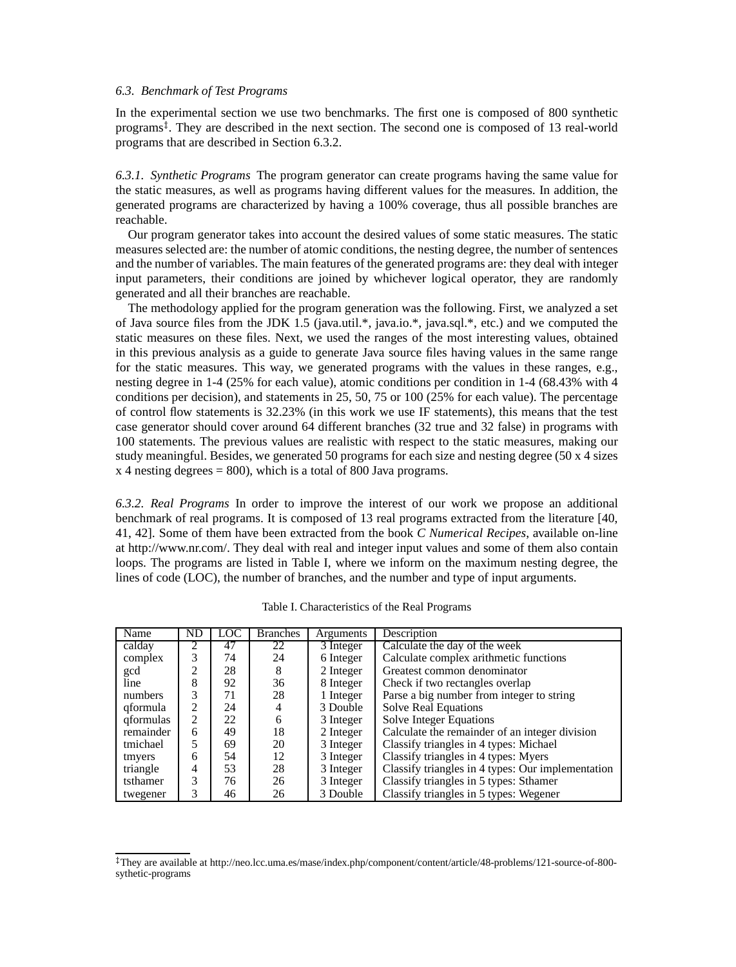## *6.3. Benchmark of Test Programs*

In the experimental section we use two benchmarks. The first one is composed of 800 synthetic programs<sup>†</sup>. They are described in the next section. The second one is composed of 13 real-world programs that are described in Section 6.3.2.

*6.3.1. Synthetic Programs* The program generator can create programs having the same value for the static measures, as well as programs having different values for the measures. In addition, the generated programs are characterized by having a 100% coverage, thus all possible branches are reachable.

Our program generator takes into account the desired values of some static measures. The static measures selected are: the number of atomic conditions, the nesting degree, the number of sentences and the number of variables. The main features of the generated programs are: they deal with integer input parameters, their conditions are joined by whichever logical operator, they are randomly generated and all their branches are reachable.

The methodology applied for the program generation was the following. First, we analyzed a set of Java source files from the JDK 1.5 (java.util.\*, java.io.\*, java.sql.\*, etc.) and we computed the static measures on these files. Next, we used the ranges of the most interesting values, obtained in this previous analysis as a guide to generate Java source files having values in the same range for the static measures. This way, we generated programs with the values in these ranges, e.g., nesting degree in 1-4 (25% for each value), atomic conditions per condition in 1-4 (68.43% with 4 conditions per decision), and statements in 25, 50, 75 or 100 (25% for each value). The percentage of control flow statements is 32.23% (in this work we use IF statements), this means that the test case generator should cover around 64 different branches (32 true and 32 false) in programs with 100 statements. The previous values are realistic with respect to the static measures, making our study meaningful. Besides, we generated 50 programs for each size and nesting degree (50 x 4 sizes x 4 nesting degrees = 800), which is a total of 800 Java programs.

*6.3.2. Real Programs* In order to improve the interest of our work we propose an additional benchmark of real programs. It is composed of 13 real programs extracted from the literature [40, 41, 42]. Some of them have been extracted from the book *C Numerical Recipes*, available on-line at http://www.nr.com/. They deal with real and integer input values and some of them also contain loops. The programs are listed in Table I, where we inform on the maximum nesting degree, the lines of code (LOC), the number of branches, and the number and type of input arguments.

| Name                     | ND             | LOC      | <b>Branches</b>             | Arguments | Description                                       |
|--------------------------|----------------|----------|-----------------------------|-----------|---------------------------------------------------|
| calday                   | 2              | 47       | 22                          | 3 Integer | Calculate the day of the week                     |
| complex                  | 3              | 74       | 24                          | 6 Integer | Calculate complex arithmetic functions            |
| gcd                      | $\overline{2}$ | 28       | 8                           | 2 Integer | Greatest common denominator                       |
| line                     | 8              | 92       | 36                          | 8 Integer | Check if two rectangles overlap                   |
| numbers                  | 3              | 71       | 28                          | 1 Integer | Parse a big number from integer to string         |
| 2<br>24<br>4<br>gformula |                | 3 Double | <b>Solve Real Equations</b> |           |                                                   |
| gformulas                | 2              | 22       | 6                           | 3 Integer | <b>Solve Integer Equations</b>                    |
| remainder                | 6              | 49       | 18                          | 2 Integer | Calculate the remainder of an integer division    |
| tmichael                 |                | 69       | 20                          | 3 Integer | Classify triangles in 4 types: Michael            |
| tmyers                   | 6              | 54       | 12                          | 3 Integer | Classify triangles in 4 types: Myers              |
| triangle                 | 4              | 53       | 28                          | 3 Integer | Classify triangles in 4 types: Our implementation |
| tsthamer                 | 3              | 76       | 26                          | 3 Integer | Classify triangles in 5 types: Sthamer            |
| twegener                 | 3              | 46       | 26                          | 3 Double  | Classify triangles in 5 types: Wegener            |

Table I. Characteristics of the Real Programs

<sup>z</sup> They are available at http://neo.lcc.uma.es/mase/index.php/component/content/article/48-problems/121-source-of-800 sythetic-programs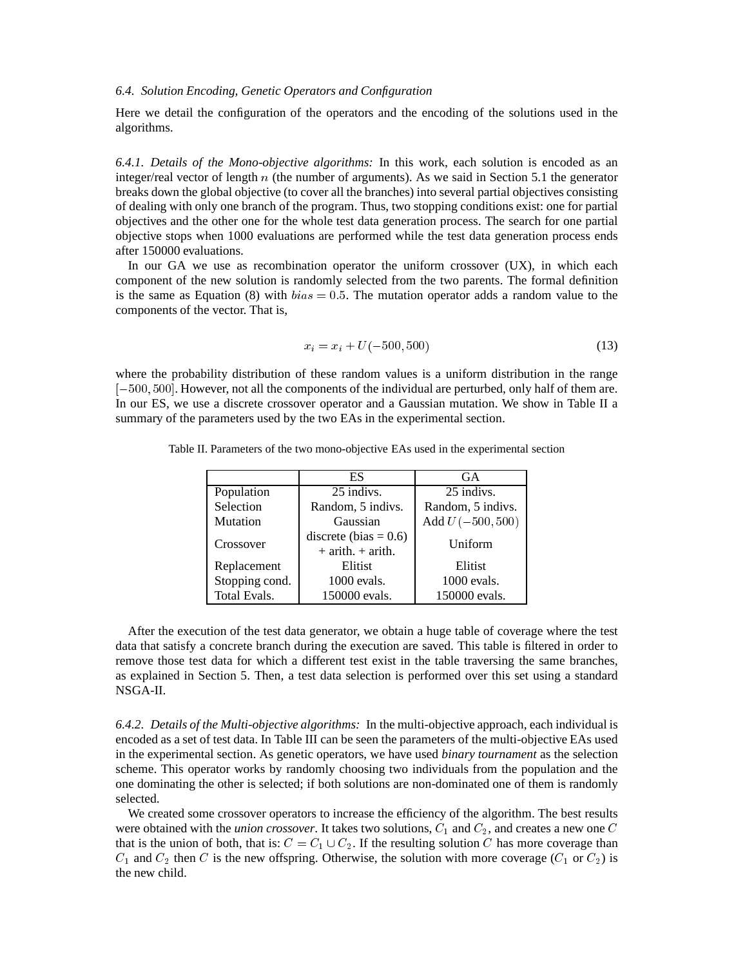## *6.4. Solution Encoding, Genetic Operators and Configuration*

Here we detail the configuration of the operators and the encoding of the solutions used in the algorithms.

*6.4.1. Details of the Mono-objective algorithms:* In this work, each solution is encoded as an integer/real vector of length  $n$  (the number of arguments). As we said in Section 5.1 the generator breaks down the global objective (to cover all the branches) into several partial objectives consisting of dealing with only one branch of the program. Thus, two stopping conditions exist: one for partial objectives and the other one for the whole test data generation process. The search for one partial objective stops when 1000 evaluations are performed while the test data generation process ends after 150000 evaluations.

In our GA we use as recombination operator the uniform crossover (UX), in which each component of the new solution is randomly selected from the two parents. The formal definition is the same as Equation (8) with  $bias = 0.5$ . The mutation operator adds a random value to the components of the vector. That is,

$$
x_i = x_i + U(-500, 500) \tag{13}
$$

where the probability distribution of these random values is a uniform distribution in the range  $[-500, 500]$ . However, not all the components of the individual are perturbed, only half of them are. In our ES, we use a discrete crossover operator and a Gaussian mutation. We show in Table II a summary of the parameters used by the two EAs in the experimental section.

|                | ES                       | GA                 |  |
|----------------|--------------------------|--------------------|--|
| Population     | 25 indivs.               | 25 indivs.         |  |
| Selection      | Random, 5 indivs.        | Random, 5 indivs.  |  |
| Mutation       | Gaussian                 | Add $U(-500, 500)$ |  |
| Crossover      | discrete (bias = $0.6$ ) | Uniform            |  |
|                | $+$ arith. $+$ arith.    |                    |  |
| Replacement    | Elitist                  | Elitist            |  |
| Stopping cond. | 1000 evals.              | 1000 evals.        |  |
| Total Evals.   | 150000 evals.            | 150000 evals.      |  |

Table II. Parameters of the two mono-objective EAs used in the experimental section

After the execution of the test data generator, we obtain a huge table of coverage where the test data that satisfy a concrete branch during the execution are saved. This table is filtered in order to remove those test data for which a different test exist in the table traversing the same branches, as explained in Section 5. Then, a test data selection is performed over this set using a standard NSGA-II.

*6.4.2. Details of the Multi-objective algorithms:* In the multi-objective approach, each individual is encoded as a set of test data. In Table III can be seen the parameters of the multi-objective EAs used in the experimental section. As genetic operators, we have used *binary tournament* as the selection scheme. This operator works by randomly choosing two individuals from the population and the one dominating the other is selected; if both solutions are non-dominated one of them is randomly selected.

We created some crossover operators to increase the efficiency of the algorithm. The best results were obtained with the *union crossover*. It takes two solutions,  $C_1$  and  $C_2$ , and creates a new one C that is the union of both, that is:  $C = C_1 \cup C_2$ . If the resulting solution C has more coverage than  $C_1$  and  $C_2$  then C is the new offspring. Otherwise, the solution with more coverage ( $C_1$  or  $C_2$ ) is the new child.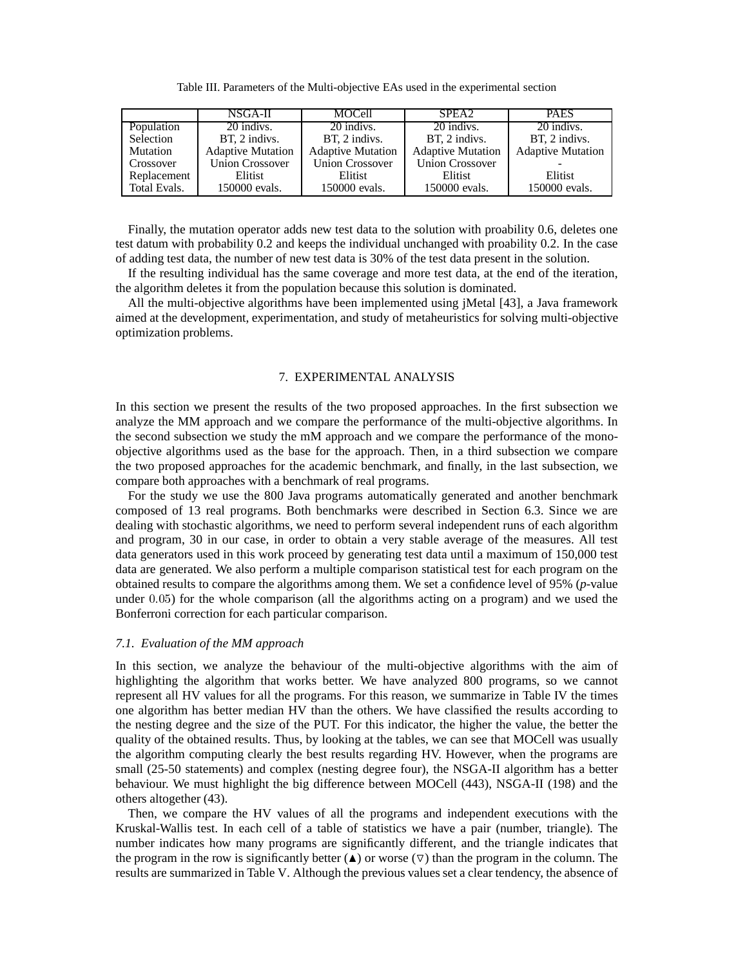Table III. Parameters of the Multi-objective EAs used in the experimental section

|                            | NSGA-II                  | <b>MOCell</b>            | SPEA <sub>2</sub>        | <b>PAES</b>              |
|----------------------------|--------------------------|--------------------------|--------------------------|--------------------------|
| Population                 | 20 indivs.               | 20 indivs.               | 20 indivs.               | 20 indivs.               |
| BT. 2 indivs.<br>Selection |                          | BT. 2 indivs.            | BT. 2 indivs.            | BT. 2 indivs.            |
| Mutation                   | <b>Adaptive Mutation</b> | <b>Adaptive Mutation</b> | <b>Adaptive Mutation</b> | <b>Adaptive Mutation</b> |
| Crossover                  | <b>Union Crossover</b>   | <b>Union Crossover</b>   | <b>Union Crossover</b>   |                          |
| Replacement                | Elitist                  | Elitist                  | Elitist                  | Elitist                  |
| Total Evals.               | 150000 evals.            | 150000 evals.            | 150000 evals.            | 150000 evals.            |

Finally, the mutation operator adds new test data to the solution with proability 0.6, deletes one test datum with probability 0.2 and keeps the individual unchanged with proability 0.2. In the case of adding test data, the number of new test data is 30% of the test data present in the solution.

If the resulting individual has the same coverage and more test data, at the end of the iteration, the algorithm deletes it from the population because this solution is dominated.

All the multi-objective algorithms have been implemented using jMetal [43], a Java framework aimed at the development, experimentation, and study of metaheuristics for solving multi-objective optimization problems.

# 7. EXPERIMENTAL ANALYSIS

In this section we present the results of the two proposed approaches. In the first subsection we analyze the MM approach and we compare the performance of the multi-objective algorithms. In the second subsection we study the mM approach and we compare the performance of the monoobjective algorithms used as the base for the approach. Then, in a third subsection we compare the two proposed approaches for the academic benchmark, and finally, in the last subsection, we compare both approaches with a benchmark of real programs.

For the study we use the 800 Java programs automatically generated and another benchmark composed of 13 real programs. Both benchmarks were described in Section 6.3. Since we are dealing with stochastic algorithms, we need to perform several independent runs of each algorithm and program, 30 in our case, in order to obtain a very stable average of the measures. All test data generators used in this work proceed by generating test data until a maximum of 150,000 test data are generated. We also perform a multiple comparison statistical test for each program on the obtained results to compare the algorithms among them. We set a confidence level of 95% (*p*-value under  $(0.05)$  for the whole comparison (all the algorithms acting on a program) and we used the Bonferroni correction for each particular comparison.

## *7.1. Evaluation of the MM approach*

In this section, we analyze the behaviour of the multi-objective algorithms with the aim of highlighting the algorithm that works better. We have analyzed 800 programs, so we cannot represent all HV values for all the programs. For this reason, we summarize in Table IV the times one algorithm has better median HV than the others. We have classified the results according to the nesting degree and the size of the PUT. For this indicator, the higher the value, the better the quality of the obtained results. Thus, by looking at the tables, we can see that MOCell was usually the algorithm computing clearly the best results regarding HV. However, when the programs are small (25-50 statements) and complex (nesting degree four), the NSGA-II algorithm has a better behaviour. We must highlight the big difference between MOCell (443), NSGA-II (198) and the others altogether (43).

Then, we compare the HV values of all the programs and independent executions with the Kruskal-Wallis test. In each cell of a table of statistics we have a pair (number, triangle). The number indicates how many programs are significantly different, and the triangle indicates that the program in the row is significantly better  $(\triangle)$  or worse  $(\triangledown)$  than the program in the column. The results are summarized in Table V. Although the previous values set a clear tendency, the absence of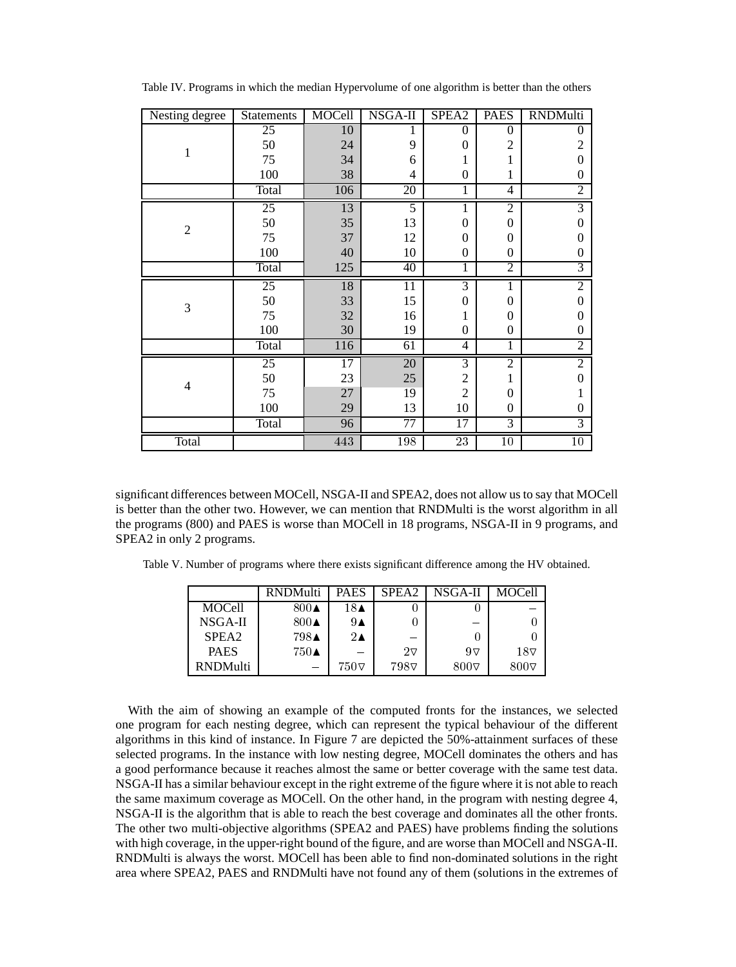| Nesting degree | <b>Statements</b> | MOCell          | $NSGA-II$       | $\overline{\text{SPEA2}}$ | <b>PAES</b>      | <b>RNDMulti</b>  |
|----------------|-------------------|-----------------|-----------------|---------------------------|------------------|------------------|
|                | $\overline{25}$   | 10              |                 | $\theta$                  | 0                | 0                |
| $\mathbf{1}$   | 50                | 24              | 9               | $\boldsymbol{0}$          | $\overline{2}$   | 2                |
|                | 75                | 34              | 6               | 1                         | 1                | 0                |
|                | 100               | 38              | 4               | $\boldsymbol{0}$          | 1                | 0                |
|                | Total             | 106             | 20              | $\mathbf{1}$              | 4                | $\overline{2}$   |
|                | $\overline{25}$   | 13              | 5               | 1                         | $\overline{2}$   | $\overline{3}$   |
| $\overline{2}$ | 50                | 35              | 13              | $\boldsymbol{0}$          | $\boldsymbol{0}$ | $\boldsymbol{0}$ |
|                | 75                | 37              | 12              | $\boldsymbol{0}$          | $\theta$         | $\Omega$         |
|                | 100               | 40              | 10              | $\boldsymbol{0}$          | $\theta$         | $\boldsymbol{0}$ |
|                | Total             | 125             | 40              | $\mathbf{1}$              | $\overline{2}$   | $\overline{3}$   |
|                | 25                | 18              | $\overline{11}$ | 3                         | $\mathbf{1}$     | $\overline{2}$   |
|                | 50                | 33              | 15              | $\boldsymbol{0}$          | $\boldsymbol{0}$ | $\theta$         |
| 3              | 75                | 32              | 16              | 1                         | $\boldsymbol{0}$ | 0                |
|                | 100               | 30              | 19              | $\boldsymbol{0}$          | $\boldsymbol{0}$ | $\boldsymbol{0}$ |
|                | Total             | 116             | 61              | $\overline{4}$            | 1                | $\overline{2}$   |
|                | 25                | $\overline{17}$ | 20              | $\overline{3}$            | $\overline{2}$   | $\overline{2}$   |
|                | 50                | 23              | 25              | $\mathfrak{2}$            | 1                | $\Omega$         |
| 4              | 75                | 27              | 19              | $\overline{2}$            | $\theta$         | 1                |
|                | 100               | 29              | 13              | 10                        | $\boldsymbol{0}$ | $\overline{0}$   |
|                | Total             | 96              | 77              | 17                        | $\overline{3}$   | $\overline{3}$   |
| Total          |                   | 443             | 198             | $\overline{23}$           | $\overline{10}$  | $\overline{10}$  |

Table IV. Programs in which the median Hypervolume of one algorithm is better than the others

significant differences between MOCell, NSGA-II and SPEA2, does not allow us to say that MOCell is better than the other two. However, we can mention that RNDMulti is the worst algorithm in all the programs (800) and PAES is worse than MOCell in 18 programs, NSGA-II in 9 programs, and SPEA2 in only 2 programs.

Table V. Number of programs where there exists significant difference among the HV obtained.

|                   | <b>RNDMulti</b>          | <b>PAES</b>       | SPEA <sub>2</sub> | NSGA-II | MOCell      |
|-------------------|--------------------------|-------------------|-------------------|---------|-------------|
| MOCell            | $800 \triangle$          | 18▲               |                   |         |             |
| NSGA-II           | $800\text{A}$            | $9\blacktriangle$ |                   | —       |             |
| SPEA <sub>2</sub> | $798\blacktriangle$      | $2\blacktriangle$ |                   |         |             |
| <b>PAES</b>       | $750\blacktriangle$      | --                | $2\nabla$         | 9⊽      | $18\sigma$  |
| <b>RNDMulti</b>   | $\overline{\phantom{m}}$ | 750⊽              | 798⊽              | 800⊽    | $800\sigma$ |

With the aim of showing an example of the computed fronts for the instances, we selected one program for each nesting degree, which can represent the typical behaviour of the different algorithms in this kind of instance. In Figure 7 are depicted the 50%-attainment surfaces of these selected programs. In the instance with low nesting degree, MOCell dominates the others and has a good performance because it reaches almost the same or better coverage with the same test data. NSGA-II has a similar behaviour except in the right extreme of the figure where it is not able to reach the same maximum coverage as MOCell. On the other hand, in the program with nesting degree 4, NSGA-II is the algorithm that is able to reach the best coverage and dominates all the other fronts. The other two multi-objective algorithms (SPEA2 and PAES) have problems finding the solutions with high coverage, in the upper-right bound of the figure, and are worse than MOCell and NSGA-II. RNDMulti is always the worst. MOCell has been able to find non-dominated solutions in the right area where SPEA2, PAES and RNDMulti have not found any of them (solutions in the extremes of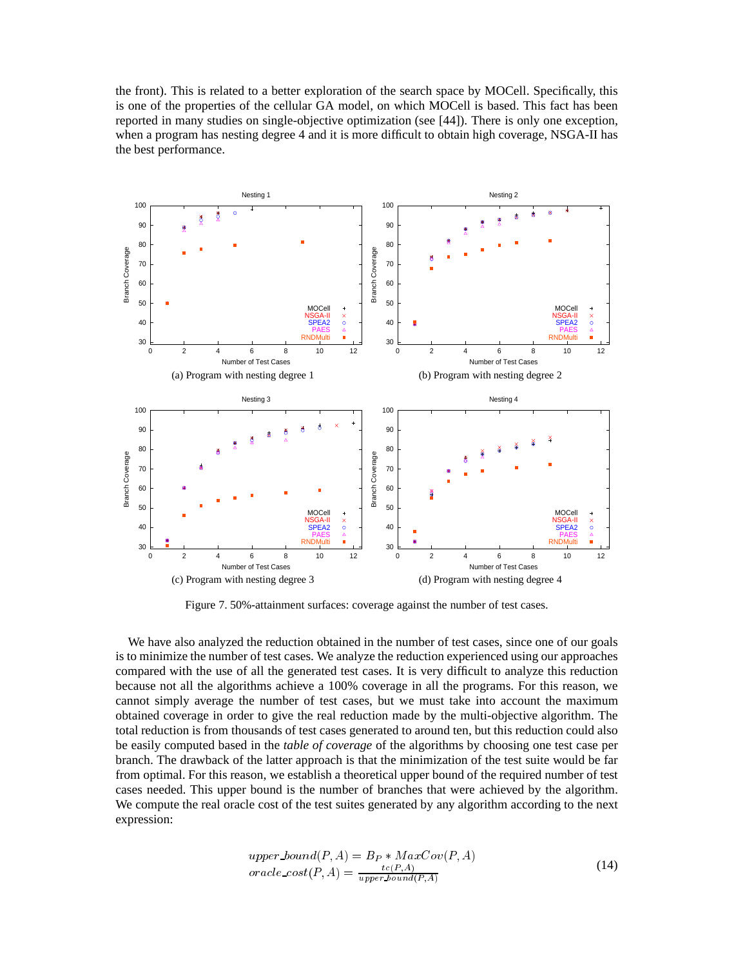the front). This is related to a better exploration of the search space by MOCell. Specifically, this is one of the properties of the cellular GA model, on which MOCell is based. This fact has been reported in many studies on single-objective optimization (see [44]). There is only one exception, when a program has nesting degree 4 and it is more difficult to obtain high coverage, NSGA-II has the best performance.



Figure 7. 50%-attainment surfaces: coverage against the number of test cases.

We have also analyzed the reduction obtained in the number of test cases, since one of our goals is to minimize the number of test cases. We analyze the reduction experienced using our approaches compared with the use of all the generated test cases. It is very difficult to analyze this reduction because not all the algorithms achieve a 100% coverage in all the programs. For this reason, we cannot simply average the number of test cases, but we must take into account the maximum obtained coverage in order to give the real reduction made by the multi-objective algorithm. The total reduction is from thousands of test cases generated to around ten, but this reduction could also be easily computed based in the *table of coverage* of the algorithms by choosing one test case per branch. The drawback of the latter approach is that the minimization of the test suite would be far from optimal. For this reason, we establish a theoretical upper bound of the required number of test cases needed. This upper bound is the number of branches that were achieved by the algorithm. We compute the real oracle cost of the test suites generated by any algorithm according to the next expression:

$$
upper\_bound(P, A) = B_P * MaxCov(P, A)
$$
  
\n
$$
oracle\_cost(P, A) = \frac{tc(P, A)}{upper\_bound(P, A)}
$$
\n(14)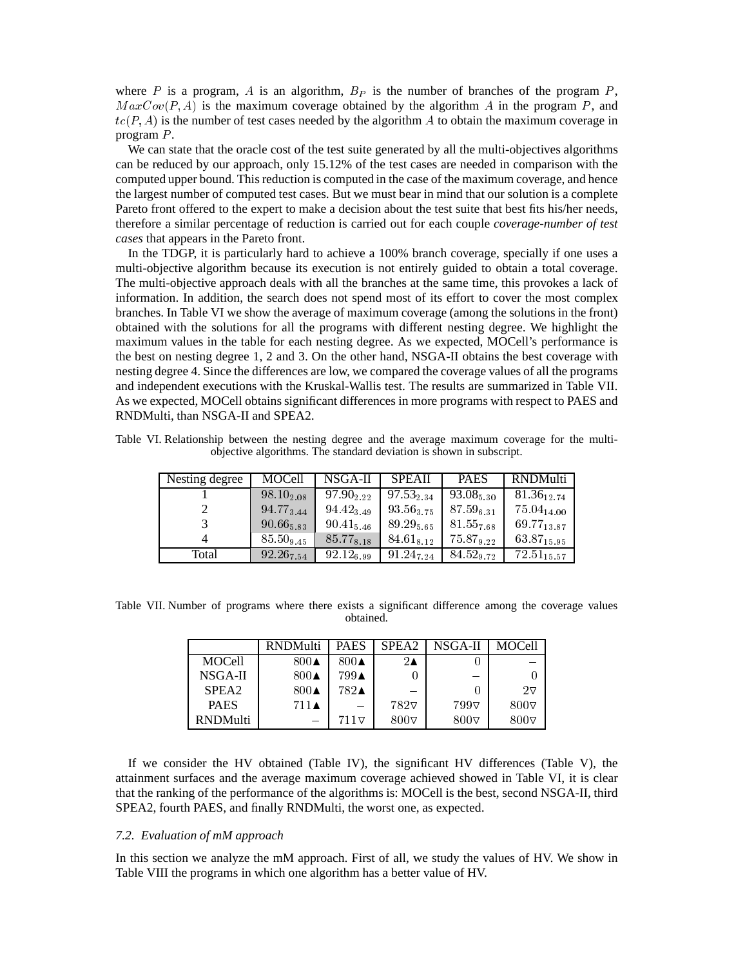where P is a program, A is an algorithm,  $B<sub>P</sub>$  is the number of branches of the program P,  $MaxCov(P, A)$  is the maximum coverage obtained by the algorithm A in the program P, and  $tc(P, A)$  is the number of test cases needed by the algorithm A to obtain the maximum coverage in program  $P$ .

We can state that the oracle cost of the test suite generated by all the multi-objectives algorithms can be reduced by our approach, only 15.12% of the test cases are needed in comparison with the computed upper bound. This reduction is computed in the case of the maximum coverage, and hence the largest number of computed test cases. But we must bear in mind that our solution is a complete Pareto front offered to the expert to make a decision about the test suite that best fits his/her needs, therefore a similar percentage of reduction is carried out for each couple *coverage-number of test cases* that appears in the Pareto front.

In the TDGP, it is particularly hard to achieve a 100% branch coverage, specially if one uses a multi-objective algorithm because its execution is not entirely guided to obtain a total coverage. The multi-objective approach deals with all the branches at the same time, this provokes a lack of information. In addition, the search does not spend most of its effort to cover the most complex branches. In Table VI we show the average of maximum coverage (among the solutions in the front) obtained with the solutions for all the programs with different nesting degree. We highlight the maximum values in the table for each nesting degree. As we expected, MOCell's performance is the best on nesting degree 1, 2 and 3. On the other hand, NSGA-II obtains the best coverage with nesting degree 4. Since the differences are low, we compared the coverage values of all the programs and independent executions with the Kruskal-Wallis test. The results are summarized in Table VII. As we expected, MOCell obtains significant differences in more programs with respect to PAES and RNDMulti, than NSGA-II and SPEA2.

Table VI. Relationship between the nesting degree and the average maximum coverage for the multiobjective algorithms. The standard deviation is shown in subscript.

| Nesting degree | MOCell                | NSGA-II        | <b>SPEAII</b>  | <b>PAES</b>                 | RNDMulti        |
|----------------|-----------------------|----------------|----------------|-----------------------------|-----------------|
|                | $98.10_{2.08}$        | $97.90_{2.22}$ | $97.53_{2.34}$ | $93.08_{5.30}$              | $81.36_{12.74}$ |
|                | 94.77 <sub>3.44</sub> | $94.42_{3.49}$ | $93.56_{3.75}$ | $87.59_{6.31}$              | $75.04_{14.00}$ |
|                | $90.66_{5.83}$        | $90.41_{5.46}$ | $89.29_{5.65}$ | $81.55_{7.68}$              | $69.77_{13.87}$ |
|                | $85.50_{9.45}$        | $85.77_{8.18}$ | $84.61_{8.12}$ | $75.87_{\scriptstyle 9.22}$ | $63.87_{15.95}$ |
| Total          | $92.26_{7.54}$        | $92.12_{6.99}$ | $91.24_{7.24}$ | $84.52_{9.72}$              | $72.51_{15.57}$ |

Table VII. Number of programs where there exists a significant difference among the coverage values obtained.

|                   | <b>RNDMulti</b> | <b>PAES</b>         | SPEA <sub>2</sub> | NSGA-II     | MOCell      |
|-------------------|-----------------|---------------------|-------------------|-------------|-------------|
| MOCell            | $800 \triangle$ | $800\text{A}$       | $2\blacktriangle$ |             |             |
| NSGA-II           | $800 \triangle$ | $799\blacktriangle$ |                   | $\sim$      |             |
| SPEA <sub>2</sub> | $800 \triangle$ | $782 \triangle$     |                   |             | $2\nabla$   |
| <b>PAES</b>       | $711 \triangle$ |                     | 7827              | 799⊽        | $800\sigma$ |
| <b>RNDMulti</b>   |                 | 711⊽                | $800\nabla$       | $800\sigma$ | $800\sigma$ |

If we consider the HV obtained (Table IV), the significant HV differences (Table V), the attainment surfaces and the average maximum coverage achieved showed in Table VI, it is clear that the ranking of the performance of the algorithms is: MOCell is the best, second NSGA-II, third SPEA2, fourth PAES, and finally RNDMulti, the worst one, as expected.

#### *7.2. Evaluation of mM approach*

In this section we analyze the mM approach. First of all, we study the values of HV. We show in Table VIII the programs in which one algorithm has a better value of HV.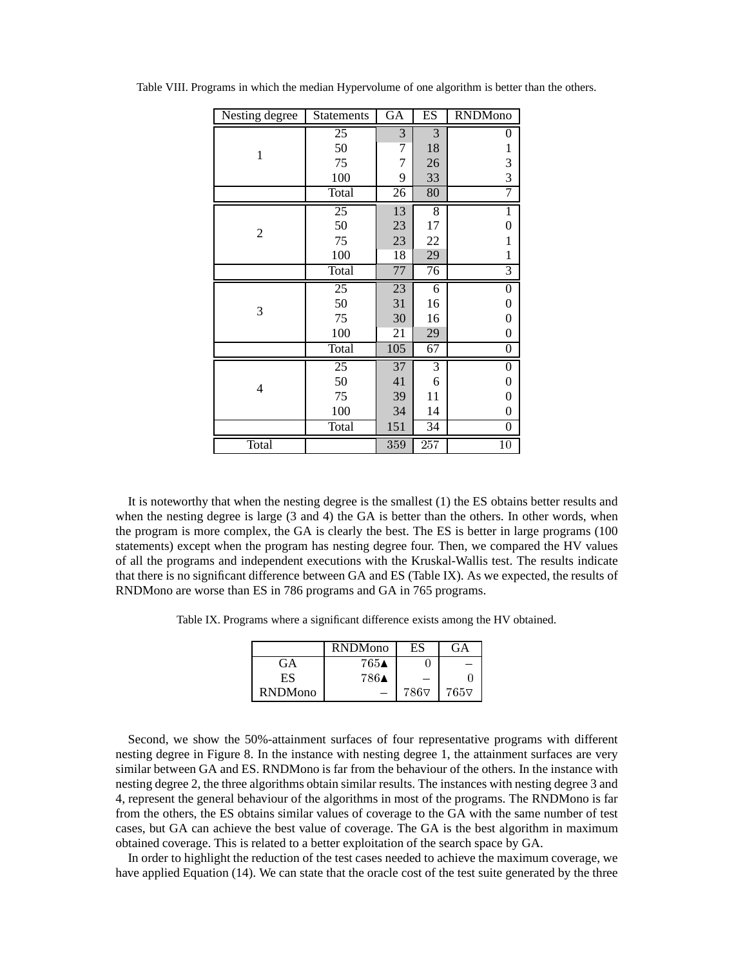| Nesting degree | <b>Statements</b> | $\overline{GA}$ | ES              | <b>RNDMono</b>   |
|----------------|-------------------|-----------------|-----------------|------------------|
|                | 25                | $\mathfrak{Z}$  | 3               | 0                |
|                | 50                | 7               | 18              | $\mathbf{1}$     |
| $\mathbf{1}$   | 75                | 7               | 26              |                  |
|                | 100               | 9               | 33              | $\frac{3}{3}$    |
|                | Total             | 26              | 80              | 7                |
|                | $\overline{25}$   | 13              | 8               | $\overline{1}$   |
| $\overline{c}$ | 50                | 23              | 17              | $\overline{0}$   |
|                | 75                | 23              | 22              | $\mathbf{1}$     |
|                | 100               | 18              | 29              | $\mathbf{1}$     |
|                | Total             | 77              | 76              | 3                |
|                | 25                | 23              | 6               | $\boldsymbol{0}$ |
| 3              | 50                | 31              | 16              | $\boldsymbol{0}$ |
|                | 75                | 30              | 16              | $\overline{0}$   |
|                | 100               | 21              | 29              | $\boldsymbol{0}$ |
|                | Total             | 105             | $\overline{67}$ | $\overline{0}$   |
|                | $\overline{25}$   | 37              | 3               | $\boldsymbol{0}$ |
|                | 50                | 41              | 6               | $\boldsymbol{0}$ |
| 4              | 75                | 39              | 11              | $\boldsymbol{0}$ |
|                | 100               | 34              | 14              | $\overline{0}$   |
|                | Total             | 151             | $\overline{34}$ | $\overline{0}$   |
| Total          |                   | 359             | 257             | 10               |

Table VIII. Programs in which the median Hypervolume of one algorithm is better than the others.

It is noteworthy that when the nesting degree is the smallest (1) the ES obtains better results and when the nesting degree is large (3 and 4) the GA is better than the others. In other words, when the program is more complex, the GA is clearly the best. The ES is better in large programs (100 statements) except when the program has nesting degree four. Then, we compared the HV values of all the programs and independent executions with the Kruskal-Wallis test. The results indicate that there is no significant difference between GA and ES (Table IX). As we expected, the results of RNDMono are worse than ES in 786 programs and GA in 765 programs.

Table IX. Programs where a significant difference exists among the HV obtained.

|                            | <b>RNDM</b> <sub>ono</sub> | ES   | GА          |
|----------------------------|----------------------------|------|-------------|
| GA                         | $765\triangle$             |      |             |
| ES                         | $786\blacktriangle$        | --   |             |
| <b>RNDM</b> <sub>ono</sub> |                            | 7867 | $765\sigma$ |

Second, we show the 50%-attainment surfaces of four representative programs with different nesting degree in Figure 8. In the instance with nesting degree 1, the attainment surfaces are very similar between GA and ES. RNDMono is far from the behaviour of the others. In the instance with nesting degree 2, the three algorithms obtain similar results. The instances with nesting degree 3 and 4, represent the general behaviour of the algorithms in most of the programs. The RNDMono is far from the others, the ES obtains similar values of coverage to the GA with the same number of test cases, but GA can achieve the best value of coverage. The GA is the best algorithm in maximum obtained coverage. This is related to a better exploitation of the search space by GA.

In order to highlight the reduction of the test cases needed to achieve the maximum coverage, we have applied Equation (14). We can state that the oracle cost of the test suite generated by the three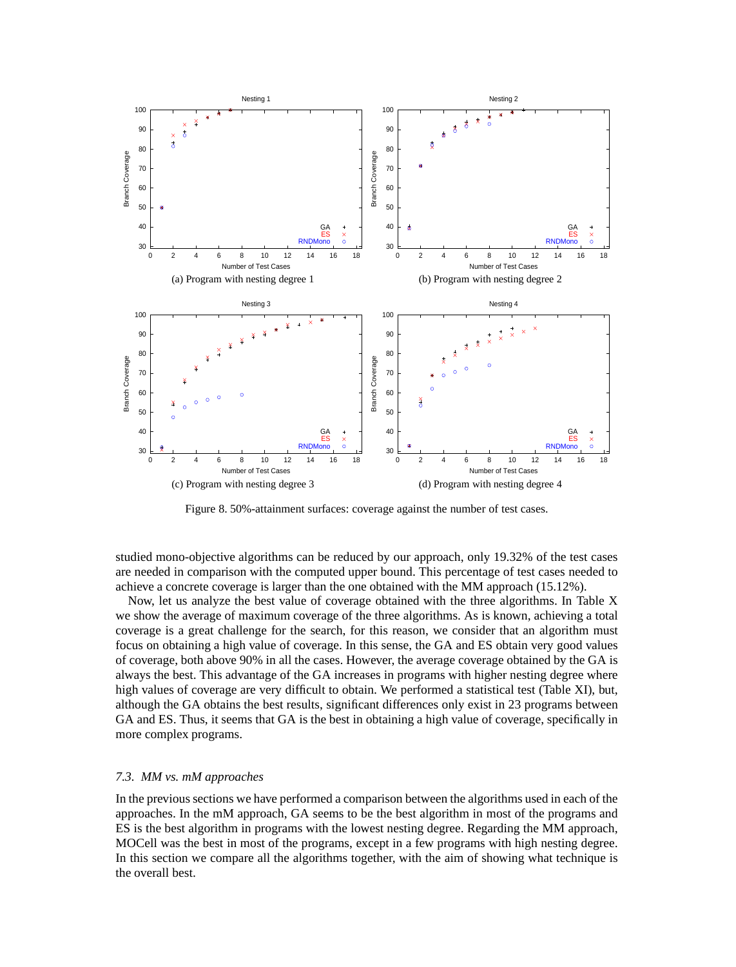

Figure 8. 50%-attainment surfaces: coverage against the number of test cases.

studied mono-objective algorithms can be reduced by our approach, only 19.32% of the test cases are needed in comparison with the computed upper bound. This percentage of test cases needed to achieve a concrete coverage is larger than the one obtained with the MM approach (15.12%).

Now, let us analyze the best value of coverage obtained with the three algorithms. In Table X we show the average of maximum coverage of the three algorithms. As is known, achieving a total coverage is a great challenge for the search, for this reason, we consider that an algorithm must focus on obtaining a high value of coverage. In this sense, the GA and ES obtain very good values of coverage, both above 90% in all the cases. However, the average coverage obtained by the GA is always the best. This advantage of the GA increases in programs with higher nesting degree where high values of coverage are very difficult to obtain. We performed a statistical test (Table XI), but, although the GA obtains the best results, significant differences only exist in 23 programs between GA and ES. Thus, it seems that GA is the best in obtaining a high value of coverage, specifically in more complex programs.

## *7.3. MM vs. mM approaches*

In the previous sections we have performed a comparison between the algorithms used in each of the approaches. In the mM approach, GA seems to be the best algorithm in most of the programs and ES is the best algorithm in programs with the lowest nesting degree. Regarding the MM approach, MOCell was the best in most of the programs, except in a few programs with high nesting degree. In this section we compare all the algorithms together, with the aim of showing what technique is the overall best.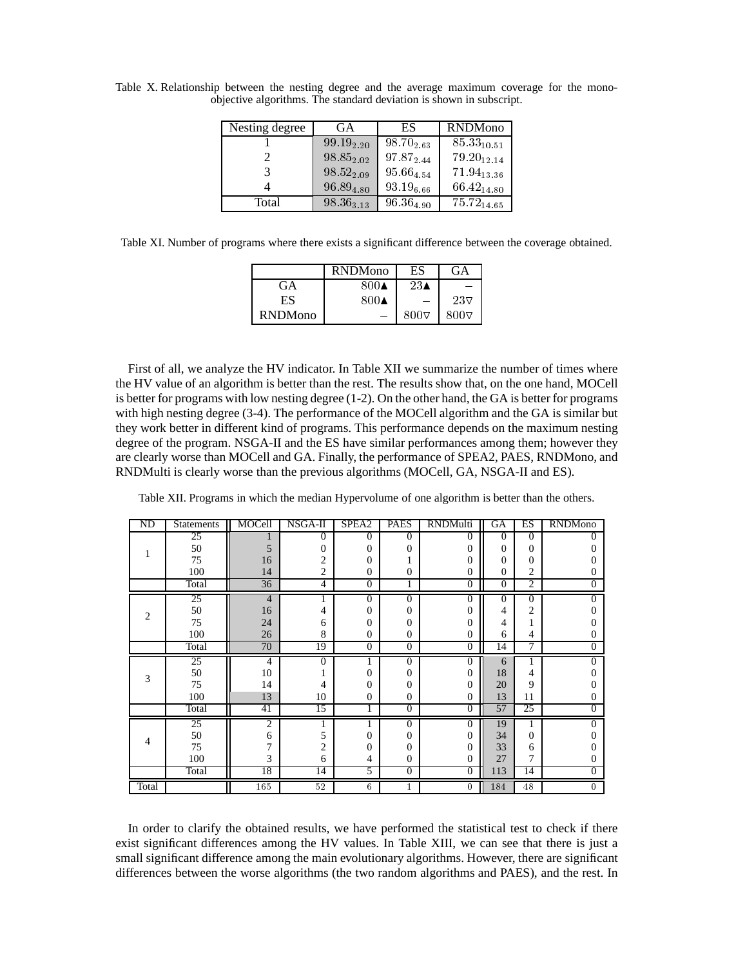| Nesting degree | GA.            | ES             | <b>RNDMono</b>  |
|----------------|----------------|----------------|-----------------|
|                | $99.19_{2.20}$ | $98.70_{2.63}$ | $85.33_{10.51}$ |
|                | $98.85_{2.02}$ | $97.87_{2.44}$ | $79.20_{12.14}$ |
| 3              | $98.52_{2.09}$ | 95.664.54      | $71.94_{13.36}$ |
|                | 96.894.80      | $93.19_{6.66}$ | $66.42_{14.80}$ |
| Total          | $98.36_{3.13}$ | $96.36_{4.90}$ | $75.72_{14.65}$ |

Table X. Relationship between the nesting degree and the average maximum coverage for the monoobjective algorithms. The standard deviation is shown in subscript.

Table XI. Number of programs where there exists a significant difference between the coverage obtained.

|                            | <b>RNDM</b> <sub>ono</sub> | ES                       | GА         |
|----------------------------|----------------------------|--------------------------|------------|
| <b>GA</b>                  | 3007                       | $23\blacktriangle$       |            |
| ES                         | 800▲                       | $\overline{\phantom{0}}$ | $23\nabla$ |
| <b>RNDM</b> <sub>ono</sub> |                            | ع سرا                    |            |

First of all, we analyze the HV indicator. In Table XII we summarize the number of times where the HV value of an algorithm is better than the rest. The results show that, on the one hand, MOCell is better for programs with low nesting degree (1-2). On the other hand, the GA is better for programs with high nesting degree (3-4). The performance of the MOCell algorithm and the GA is similar but they work better in different kind of programs. This performance depends on the maximum nesting degree of the program. NSGA-II and the ES have similar performances among them; however they are clearly worse than MOCell and GA. Finally, the performance of SPEA2, PAES, RNDMono, and RNDMulti is clearly worse than the previous algorithms (MOCell, GA, NSGA-II and ES).

| Table XII. Programs in which the median Hypervolume of one algorithm is better than the others. |  |  |  |
|-------------------------------------------------------------------------------------------------|--|--|--|
|-------------------------------------------------------------------------------------------------|--|--|--|

| ND             | <b>Statements</b> | MOCell         | NSGA-II        | SPEA2          | <b>PAES</b>      | RNDMulti<br>$\mathbf{u}$ | GA           | ES.            | <b>RNDMono</b> |
|----------------|-------------------|----------------|----------------|----------------|------------------|--------------------------|--------------|----------------|----------------|
|                | 25                |                | $\Omega$       | $\Omega$       | $\mathbf{0}$     | 0                        | $\Omega$     | $\Omega$       |                |
| 1              | 50                | 5              | $\Omega$       | $\overline{0}$ | $\theta$         | 0                        | $\Omega$     | $\Omega$       |                |
|                | 75                | 16             | 2              | $\Omega$       | 1                | $\theta$                 | $\Omega$     | $\Omega$       |                |
|                | 100               | 14             | $\overline{2}$ | $\theta$       | $\overline{0}$   | $\theta$                 | $\Omega$     | $\overline{c}$ | 0              |
|                | Total             | 36             | 4              | $\mathbf{0}$   | 1                | $\theta$                 | $\mathbf{0}$ | 2              | 0              |
|                | 25                | $\overline{4}$ | 1              | $\overline{0}$ | 0                | $\theta$                 | $\Omega$     | $\Omega$       | 0              |
| $\overline{c}$ | 50                | 16             | 4              | $\theta$       | 0                | 0                        | 4            | 2              |                |
|                | 75                | 24             | 6              | $\overline{0}$ | 0                | 0                        | 4            | 1              |                |
|                | 100               | 26             | 8              | $\mathbf{0}$   | 0                | 0                        | 6            | 4              | 0              |
|                | Total             | 70             | 19             | $\theta$       | 0                | $\overline{0}$           | 14           | 7              | 0              |
|                | 25                | $\overline{4}$ | $\overline{0}$ | T              | $\overline{0}$   | $\Omega$                 | 6            | 1              | 0              |
| 3              | 50                | 10             |                | $\mathbf{0}$   | 0                | $\theta$                 | 18           | 4              |                |
|                | 75                | 14             | 4              | $\mathbf{0}$   | 0                | 0                        | 20           | 9              |                |
|                | 100               | 13             | 10             | $\mathbf{0}$   | 0                | $\overline{0}$           | 13           | 11             | 0              |
|                | Total             | 41             | 15             | $\mathbf{1}$   | $\overline{0}$   | $\overline{0}$           | 57           | 25             | $\theta$       |
|                | 25                | 2              |                | $\mathbf{I}$   | 0                | $\overline{0}$           | 19           |                | 0              |
|                | 50                | 6              | 5              | $\overline{0}$ | 0                | 0                        | 34           | $\Omega$       |                |
| 4              | 75                | 7              | 2              | $\mathbf{0}$   | 0                | 0                        | 33           | 6              |                |
|                | 100               | 3              | 6              | 4              | $\overline{0}$   | 0                        | 27           | 7              | 0              |
|                | Total             | 18             | 14             | 5              | $\boldsymbol{0}$ | $\overline{0}$           | 113          | 14             | 0              |
| Total          |                   | 165            | 52             | 6              | 1                | 0                        | 184          | 48             | $\mathbf{0}$   |

In order to clarify the obtained results, we have performed the statistical test to check if there exist significant differences among the HV values. In Table XIII, we can see that there is just a small significant difference among the main evolutionary algorithms. However, there are significant differences between the worse algorithms (the two random algorithms and PAES), and the rest. In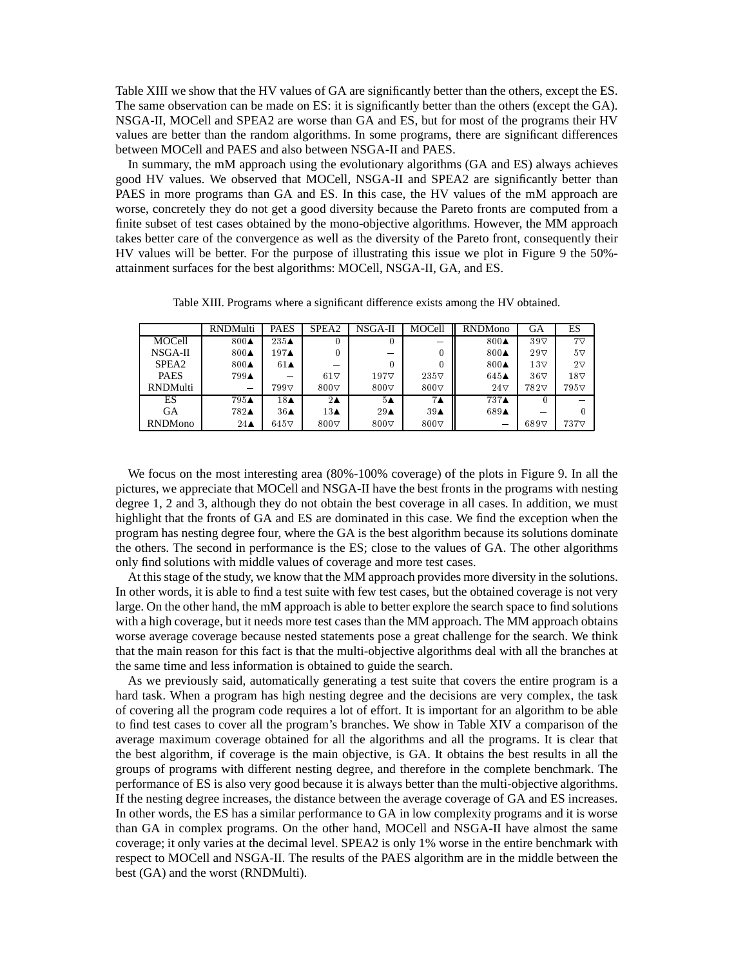Table XIII we show that the HV values of GA are significantly better than the others, except the ES. The same observation can be made on ES: it is significantly better than the others (except the GA). NSGA-II, MOCell and SPEA2 are worse than GA and ES, but for most of the programs their HV values are better than the random algorithms. In some programs, there are significant differences between MOCell and PAES and also between NSGA-II and PAES.

In summary, the mM approach using the evolutionary algorithms (GA and ES) always achieves good HV values. We observed that MOCell, NSGA-II and SPEA2 are significantly better than PAES in more programs than GA and ES. In this case, the HV values of the mM approach are worse, concretely they do not get a good diversity because the Pareto fronts are computed from a finite subset of test cases obtained by the mono-objective algorithms. However, the MM approach takes better care of the convergence as well as the diversity of the Pareto front, consequently their HV values will be better. For the purpose of illustrating this issue we plot in Figure 9 the 50% attainment surfaces for the best algorithms: MOCell, NSGA-II, GA, and ES.

|                            | RNDMulti          | <b>PAES</b>        | SPEA <sub>2</sub>        | $NSGA-II$         | MOCell                   | <b>RNDMono</b>  | GА         | ES         |
|----------------------------|-------------------|--------------------|--------------------------|-------------------|--------------------------|-----------------|------------|------------|
| MOCell                     | $800 \triangle$   | $235\triangle$     | 0                        | 0                 | $\overline{\phantom{0}}$ | $800 \triangle$ | $39\nabla$ | 7⊽         |
| NSGA-II                    | $800 \triangle$   | $197 \triangle$    | 0                        |                   | 0                        | $800 \triangle$ | $29\nabla$ | $5\nabla$  |
| SPEA <sub>2</sub>          | $800 \triangle$   | $61\blacktriangle$ | $\overline{\phantom{0}}$ | 0                 |                          | $800 \triangle$ | 13⊽        | $2\nabla$  |
| <b>PAES</b>                | $799 \triangle$   |                    | $61\nabla$               | $197\nabla$       | $235\nabla$              | $645\triangle$  | $36\nabla$ | $18\nabla$ |
| <b>RNDMulti</b>            | $\hspace{0.05cm}$ | 799⊽               | $800\nabla$              | 800⊽              | 800⊽                     | $24\nabla$      | 782⊽       | 795⊽       |
| ES                         | $795\triangle$    | $18\blacktriangle$ | $2\blacktriangle$        | $5\blacktriangle$ | 7 <sub>A</sub>           | 737▲            | 0          |            |
| <b>GA</b>                  | $782 \triangle$   | $36\triangle$      | $13\blacktriangle$       | 29 <sub>A</sub>   | 39 <sub>4</sub>          | $689 \triangle$ |            | 0          |
| <b>RNDM</b> <sub>ono</sub> | $24\triangle$     | 645⊽               | $800\nabla$              | 800⊽              | 800⊽                     | __              | 689⊽       | 737⊽       |

Table XIII. Programs where a significant difference exists among the HV obtained.

We focus on the most interesting area  $(80\% - 100\%$  coverage) of the plots in Figure 9. In all the pictures, we appreciate that MOCell and NSGA-II have the best fronts in the programs with nesting degree 1, 2 and 3, although they do not obtain the best coverage in all cases. In addition, we must highlight that the fronts of GA and ES are dominated in this case. We find the exception when the program has nesting degree four, where the GA is the best algorithm because its solutions dominate the others. The second in performance is the ES; close to the values of GA. The other algorithms only find solutions with middle values of coverage and more test cases.

At this stage of the study, we know that the MM approach provides more diversity in the solutions. In other words, it is able to find a test suite with few test cases, but the obtained coverage is not very large. On the other hand, the mM approach is able to better explore the search space to find solutions with a high coverage, but it needs more test cases than the MM approach. The MM approach obtains worse average coverage because nested statements pose a great challenge for the search. We think that the main reason for this fact is that the multi-objective algorithms deal with all the branches at the same time and less information is obtained to guide the search.

As we previously said, automatically generating a test suite that covers the entire program is a hard task. When a program has high nesting degree and the decisions are very complex, the task of covering all the program code requires a lot of effort. It is important for an algorithm to be able to find test cases to cover all the program's branches. We show in Table XIV a comparison of the average maximum coverage obtained for all the algorithms and all the programs. It is clear that the best algorithm, if coverage is the main objective, is GA. It obtains the best results in all the groups of programs with different nesting degree, and therefore in the complete benchmark. The performance of ES is also very good because it is always better than the multi-objective algorithms. If the nesting degree increases, the distance between the average coverage of GA and ES increases. In other words, the ES has a similar performance to GA in low complexity programs and it is worse than GA in complex programs. On the other hand, MOCell and NSGA-II have almost the same coverage; it only varies at the decimal level. SPEA2 is only 1% worse in the entire benchmark with respect to MOCell and NSGA-II. The results of the PAES algorithm are in the middle between the best (GA) and the worst (RNDMulti).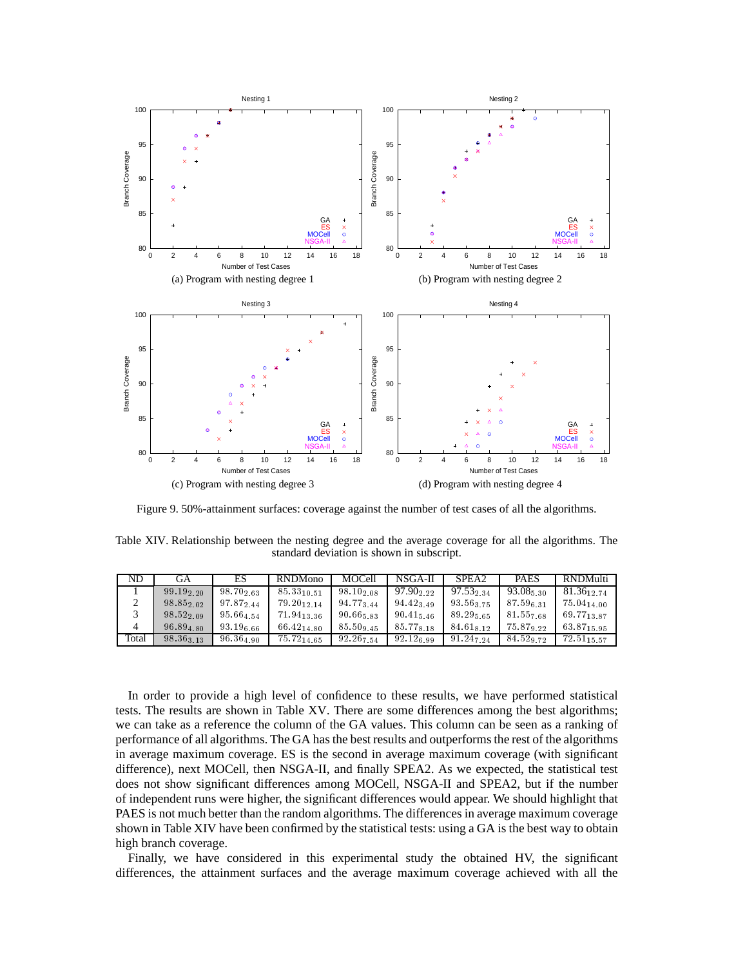

Figure 9. 50%-attainment surfaces: coverage against the number of test cases of all the algorithms.

Table XIV. Relationship between the nesting degree and the average coverage for all the algorithms. The standard deviation is shown in subscript.

| ND.   | GА             | ES                    | <b>RNDM</b> <sub>ono</sub> | MOCell         | NSGA-II        | SPEA <sub>2</sub>     | <b>PAES</b> | <b>RNDMulti</b>        |
|-------|----------------|-----------------------|----------------------------|----------------|----------------|-----------------------|-------------|------------------------|
|       | $99.19_220$    | $98.70_{2.63}$        | $85.33_{10.51}$            | $98.10_{2.08}$ | $97.90_{2,22}$ | $97.53_{2.34}$        | 93.085.30   | $81.36_{12.74}$        |
|       | 98.85202       | 97.87 <sub>2.44</sub> | $79.20_{12.14}$            | 94.773.44      | 94.423.49      | 93.563.75             | 87.596.31   | $75.04_{14}$ 00        |
|       | $98.522$ ng    | $95.664\,54$          | 71.94 <sub>13.36</sub>     | $90.665$ $83$  | $90.41_{5.46}$ | 89.29565              | $81.557$ 68 | 69.77 <sub>13</sub> 87 |
| 4     | 96.894.80      | $93.19_{6.66}$        | $66.42_{14.80}$            | 85.50945       | 85.778.18      | 84.61 <sub>8.12</sub> | 75.879.22   | 63.8715.95             |
| Total | $98.36_{3.13}$ | $96.364$ 90           | $75.72_{14.65}$            | 92.267.54      | 92.126.99      | 91.247.24             | 84.52972    | $72.51_{15.57}$        |

In order to provide a high level of confidence to these results, we have performed statistical tests. The results are shown in Table XV. There are some differences among the best algorithms; we can take as a reference the column of the GA values. This column can be seen as a ranking of performance of all algorithms. The GA has the best results and outperforms the rest of the algorithms in average maximum coverage. ES is the second in average maximum coverage (with significant difference), next MOCell, then NSGA-II, and finally SPEA2. As we expected, the statistical test does not show significant differences among MOCell, NSGA-II and SPEA2, but if the number of independent runs were higher, the significant differences would appear. We should highlight that PAES is not much better than the random algorithms. The differences in average maximum coverage shown in Table XIV have been confirmed by the statistical tests: using a GA is the best way to obtain high branch coverage.

Finally, we have considered in this experimental study the obtained HV, the significant differences, the attainment surfaces and the average maximum coverage achieved with all the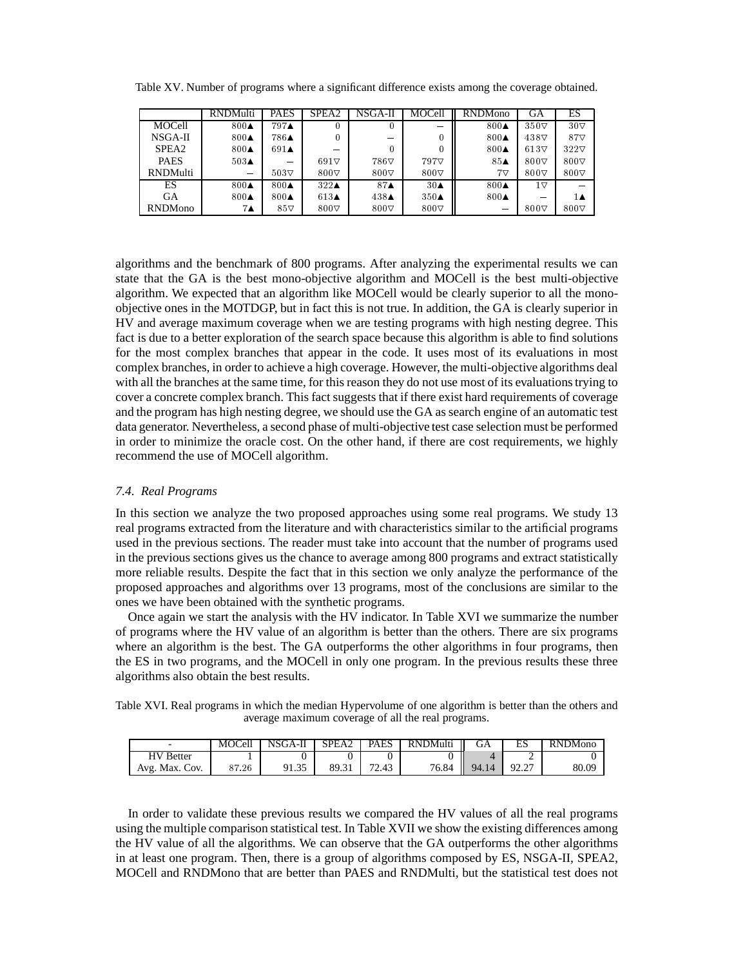|                            | <b>RNDMulti</b>          | <b>PAES</b>     | SPEA <sub>2</sub>        | $NSGA-II$      | MOCell                   | <b>RNDMono</b>  | GA                       | ES          |
|----------------------------|--------------------------|-----------------|--------------------------|----------------|--------------------------|-----------------|--------------------------|-------------|
| MOCell                     | $800 \triangle$          | 797▲            | 0                        | 0              | $\overline{\phantom{0}}$ | $800 \triangle$ | $350\nabla$              | $30\nabla$  |
| NSGA-II                    | $800 \triangle$          | 786▲            | 0                        |                | 0                        | $800 \triangle$ | 438⊽                     | $87\nabla$  |
| SPEA <sub>2</sub>          | $800 \triangle$          | $691 \triangle$ | $\overline{\phantom{0}}$ | 0              | 0                        | $800 \triangle$ | $613\nabla$              | $322\nabla$ |
| <b>PAES</b>                | $503\triangle$           |                 | $691\nabla$              | 786⊽           | 797⊽                     | $85\triangle$   | $800\nabla$              | 800⊽        |
| <b>RNDMulti</b>            | $\overline{\phantom{0}}$ | $503\nabla$     | 800⊽                     | 800⊽           | 800⊽                     | $7\nabla$       | $800\nabla$              | 800⊽        |
| ES                         | $800 \triangle$          | $800 \triangle$ | $322 \triangle$          | 87▲            | 30 <sub>A</sub>          | $800 \triangle$ | 17                       |             |
| GA                         | $800 \triangle$          | $800 \triangle$ | $613\triangle$           | $438\triangle$ | 350 <sub>4</sub>         | $800 \triangle$ | $\overline{\phantom{0}}$ | 1 ▲         |
| <b>RNDM</b> <sub>ono</sub> | $7\blacktriangle$        | $85\nabla$      | 800⊽                     | 800⊽           | 800⊽                     |                 | $800\nabla$              | 800⊽        |

Table XV. Number of programs where a significant difference exists among the coverage obtained.

algorithms and the benchmark of 800 programs. After analyzing the experimental results we can state that the GA is the best mono-objective algorithm and MOCell is the best multi-objective algorithm. We expected that an algorithm like MOCell would be clearly superior to all the monoobjective ones in the MOTDGP, but in fact this is not true. In addition, the GA is clearly superior in HV and average maximum coverage when we are testing programs with high nesting degree. This fact is due to a better exploration of the search space because this algorithm is able to find solutions for the most complex branches that appear in the code. It uses most of its evaluations in most complex branches, in order to achieve a high coverage. However, the multi-objective algorithms deal with all the branches at the same time, for this reason they do not use most of its evaluations trying to cover a concrete complex branch. This fact suggests that if there exist hard requirements of coverage and the program has high nesting degree, we should use the GA as search engine of an automatic test data generator. Nevertheless, a second phase of multi-objective test case selection must be performed in order to minimize the oracle cost. On the other hand, if there are cost requirements, we highly recommend the use of MOCell algorithm.

## *7.4. Real Programs*

In this section we analyze the two proposed approaches using some real programs. We study 13 real programs extracted from the literature and with characteristics similar to the artificial programs used in the previous sections. The reader must take into account that the number of programs used in the previous sections gives us the chance to average among 800 programs and extract statistically more reliable results. Despite the fact that in this section we only analyze the performance of the proposed approaches and algorithms over 13 programs, most of the conclusions are similar to the ones we have been obtained with the synthetic programs.

Once again we start the analysis with the HV indicator. In Table XVI we summarize the number of programs where the HV value of an algorithm is better than the others. There are six programs where an algorithm is the best. The GA outperforms the other algorithms in four programs, then the ES in two programs, and the MOCell in only one program. In the previous results these three algorithms also obtain the best results.

Table XVI. Real programs in which the median Hypervolume of one algorithm is better than the others and average maximum coverage of all the real programs.

| -                | MOCell           | NSGA-II | SPEA <sub>2</sub> | <b>PAES</b> | RNDMulti | GА    | ES           | RNDMono |
|------------------|------------------|---------|-------------------|-------------|----------|-------|--------------|---------|
| <b>HV</b> Better |                  |         |                   |             |          |       | ∽            |         |
| Avg. Max. Cov.   | $-26$<br>$\circ$ | ر ر. .  | 89.31             | 2.43        | 76.84    | 94.14 | 92.27<br>، ک | 80.09   |

In order to validate these previous results we compared the HV values of all the real programs using the multiple comparison statistical test. In Table XVII we show the existing differences among the HV value of all the algorithms. We can observe that the GA outperforms the other algorithms in at least one program. Then, there is a group of algorithms composed by ES, NSGA-II, SPEA2, MOCell and RNDMono that are better than PAES and RNDMulti, but the statistical test does not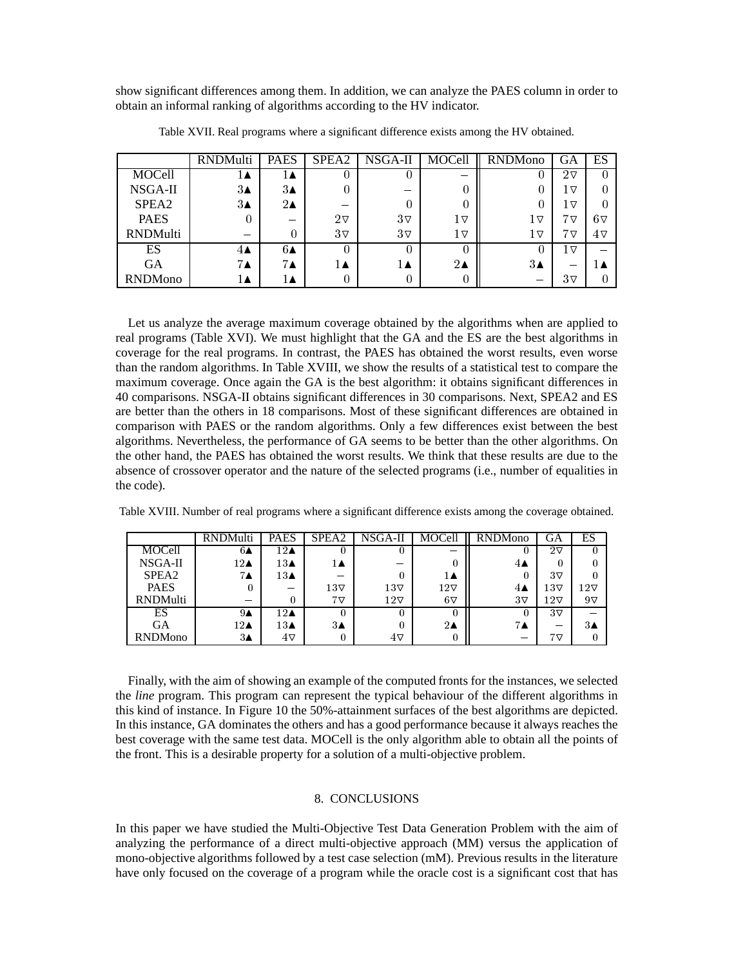show significant differences among them. In addition, we can analyze the PAES column in order to obtain an informal ranking of algorithms according to the HV indicator.

|                            | <b>RNDMulti</b>   | <b>PAES</b>       | SPEA2     | NSGA-II   | MOCell            | <b>RNDMono</b>    | <b>GA</b> | ES        |
|----------------------------|-------------------|-------------------|-----------|-----------|-------------------|-------------------|-----------|-----------|
| MOCell                     | 1 A               | lA                | O         | U         |                   |                   | $2\nabla$ |           |
| NSGA-II                    | $3\blacktriangle$ | $3\blacktriangle$ | 0         |           |                   | 0                 | l v       |           |
| SPEA <sub>2</sub>          | $3\blacktriangle$ | $2\blacktriangle$ |           |           | 0                 | 0                 | l v       |           |
| <b>PAES</b>                | 0                 | -                 | $2\nabla$ | $3\nabla$ | 1⊽                | 1⊽                | 77        | $6\nabla$ |
| RNDMulti                   |                   |                   | $3\nabla$ | $3\nabla$ | 1⊽                | 1⊽                | 7⊽        | 4⊽        |
| ES                         | $4\blacktriangle$ | 6▲                | 0         |           | 0                 | 0                 | 1 ⊽       |           |
| <b>GA</b>                  | $7\blacktriangle$ | 7▲                | 1 ▲       |           | $2\blacktriangle$ | $3\blacktriangle$ |           |           |
| <b>RNDM</b> <sub>ono</sub> |                   | lA                | 0         |           |                   |                   | $3\nabla$ |           |

Table XVII. Real programs where a significant difference exists among the HV obtained.

Let us analyze the average maximum coverage obtained by the algorithms when are applied to real programs (Table XVI). We must highlight that the GA and the ES are the best algorithms in coverage for the real programs. In contrast, the PAES has obtained the worst results, even worse than the random algorithms. In Table XVIII, we show the results of a statistical test to compare the maximum coverage. Once again the GA is the best algorithm: it obtains significant differences in 40 comparisons. NSGA-II obtains significant differences in 30 comparisons. Next, SPEA2 and ES are better than the others in 18 comparisons. Most of these significant differences are obtained in comparison with PAES or the random algorithms. Only a few differences exist between the best algorithms. Nevertheless, the performance of GA seems to be better than the other algorithms. On the other hand, the PAES has obtained the worst results. We think that these results are due to the absence of crossover operator and the nature of the selected programs (i.e., number of equalities in the code).

Table XVIII. Number of real programs where a significant difference exists among the coverage obtained.

|                   | <b>RNDMulti</b> | <b>PAES</b>    | SPEA <sub>2</sub> | NSGA-II                  | MOCell            | RNDMono           | GА         | ES  |
|-------------------|-----------------|----------------|-------------------|--------------------------|-------------------|-------------------|------------|-----|
| MOCell            | 6▲              | $12 \triangle$ | v                 | v                        |                   | U                 | $2\nabla$  |     |
| NSGA-II           | $12 \triangle$  | $13 \triangle$ |                   | $\overline{\phantom{0}}$ |                   | $4\blacktriangle$ |            |     |
| SPEA <sub>2</sub> | 7▲              | $13$ A         | _                 |                          | 14                |                   | 3⊽         |     |
| <b>PAES</b>       |                 | -              | 13⊽               | 13⊽                      | $12\nabla$        | $4\blacktriangle$ | 137        | 12⊽ |
| <b>RNDMulti</b>   |                 |                | $7\nabla$         | $12\nabla$               | 6⊽                | $3\nabla$         | $12\nabla$ | 9⊽  |
| ES                | 9▲              | $12 \triangle$ |                   |                          |                   | 0                 | 3⊽         |     |
| GA                | $12 \triangle$  | $13$ A         | 3∌                |                          | $2\blacktriangle$ | 7▲                |            | 37  |
| <b>RNDMono</b>    | 3▲              | 4⊽             |                   | 4⊽                       |                   |                   | $7\nabla$  |     |

Finally, with the aim of showing an example of the computed fronts for the instances, we selected the *line* program. This program can represent the typical behaviour of the different algorithms in this kind of instance. In Figure 10 the 50%-attainment surfaces of the best algorithms are depicted. In this instance, GA dominates the others and has a good performance because it always reaches the best coverage with the same test data. MOCell is the only algorithm able to obtain all the points of the front. This is a desirable property for a solution of a multi-objective problem.

## 8. CONCLUSIONS

In this paper we have studied the Multi-Objective Test Data Generation Problem with the aim of analyzing the performance of a direct multi-objective approach (MM) versus the application of mono-objective algorithms followed by a test case selection (mM). Previous results in the literature have only focused on the coverage of a program while the oracle cost is a significant cost that has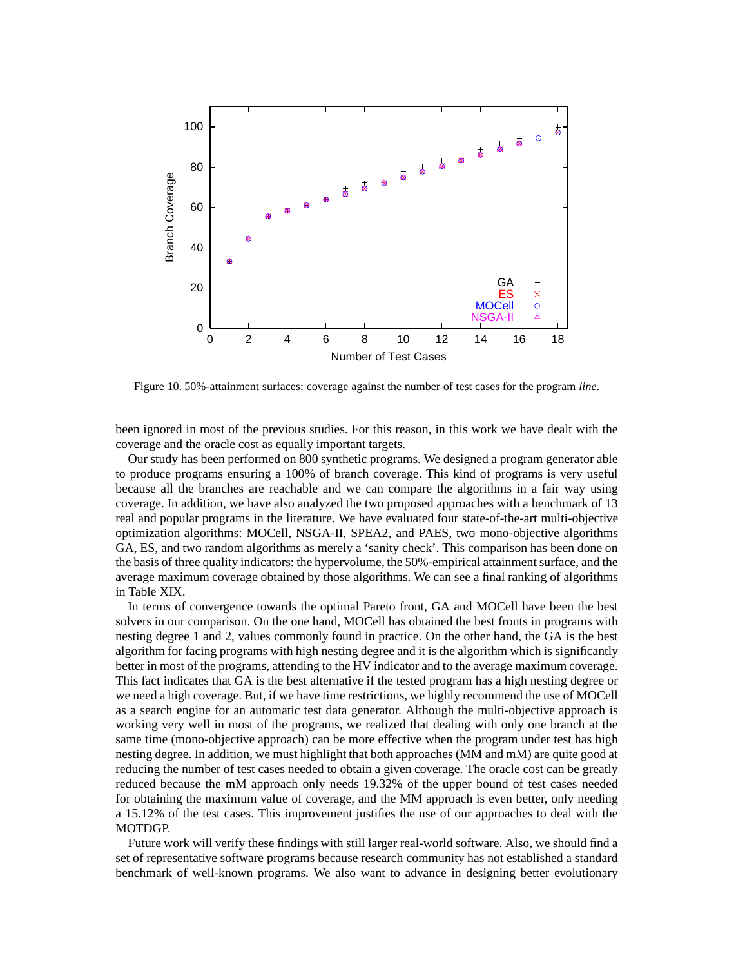

Figure 10. 50%-attainment surfaces: coverage against the number of test cases for the program *line*.

been ignored in most of the previous studies. For this reason, in this work we have dealt with the coverage and the oracle cost as equally important targets.

Our study has been performed on 800 synthetic programs. We designed a program generator able to produce programs ensuring a 100% of branch coverage. This kind of programs is very useful because all the branches are reachable and we can compare the algorithms in a fair way using coverage. In addition, we have also analyzed the two proposed approaches with a benchmark of 13 real and popular programs in the literature. We have evaluated four state-of-the-art multi-objective optimization algorithms: MOCell, NSGA-II, SPEA2, and PAES, two mono-objective algorithms GA, ES, and two random algorithms as merely a 'sanity check'. This comparison has been done on the basis of three quality indicators: the hypervolume, the 50%-empirical attainment surface, and the average maximum coverage obtained by those algorithms. We can see a final ranking of algorithms in Table XIX.

In terms of convergence towards the optimal Pareto front, GA and MOCell have been the best solvers in our comparison. On the one hand, MOCell has obtained the best fronts in programs with nesting degree 1 and 2, values commonly found in practice. On the other hand, the GA is the best algorithm for facing programs with high nesting degree and it is the algorithm which is significantly better in most of the programs, attending to the HV indicator and to the average maximum coverage. This fact indicates that GA is the best alternative if the tested program has a high nesting degree or we need a high coverage. But, if we have time restrictions, we highly recommend the use of MOCell as a search engine for an automatic test data generator. Although the multi-objective approach is working very well in most of the programs, we realized that dealing with only one branch at the same time (mono-objective approach) can be more effective when the program under test has high nesting degree. In addition, we must highlight that both approaches (MM and mM) are quite good at reducing the number of test cases needed to obtain a given coverage. The oracle cost can be greatly reduced because the mM approach only needs 19.32% of the upper bound of test cases needed for obtaining the maximum value of coverage, and the MM approach is even better, only needing a 15.12% of the test cases. This improvement justifies the use of our approaches to deal with the MOTDGP.

Future work will verify these findings with still larger real-world software. Also, we should find a set of representative software programs because research community has not established a standard benchmark of well-known programs. We also want to advance in designing better evolutionary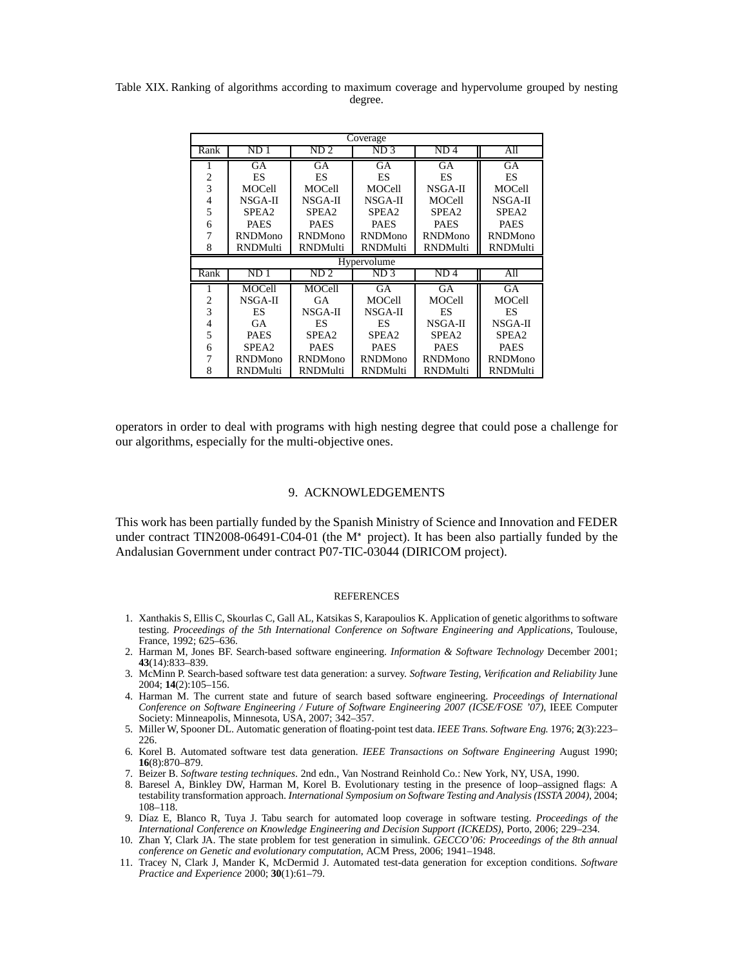| Coverage       |                            |                            |                            |                            |                            |
|----------------|----------------------------|----------------------------|----------------------------|----------------------------|----------------------------|
| Rank           | ND <sub>1</sub>            | ND <sub>2</sub>            | ND <sub>3</sub>            | ND <sub>4</sub>            | All                        |
|                | GA                         | GA                         | GA                         | GA                         | GA                         |
| $\overline{2}$ | ES                         | ES                         | ES                         | ES                         | ES                         |
| 3              | MOCell                     | <b>MOCell</b>              | MOCell                     | NSGA-II                    | MOCell                     |
| $\overline{4}$ | $NSGA-II$                  | NSGA-II                    | $NSGA-II$                  | MOCell                     | NSGA-II                    |
| 5              | SPEA2                      | SPEA <sub>2</sub>          | SPEA <sub>2</sub>          | SPEA <sub>2</sub>          | SPEA <sub>2</sub>          |
| 6              | <b>PAES</b>                | <b>PAES</b>                | <b>PAES</b>                | <b>PAES</b>                | <b>PAES</b>                |
| 7              | <b>RNDM</b> <sub>ono</sub> | <b>RNDMono</b>             | <b>RNDM</b> <sub>ono</sub> | <b>RNDM</b> <sub>ono</sub> | <b>RNDM</b> <sub>ono</sub> |
| 8              | RNDMulti                   | <b>RNDMulti</b>            | <b>RNDMulti</b>            | <b>RNDMulti</b>            | <b>RNDMulti</b>            |
|                |                            |                            |                            |                            |                            |
|                |                            |                            | Hypervolume                |                            |                            |
| Rank           | ND <sub>1</sub>            | ND <sub>2</sub>            | ND <sub>3</sub>            | ND <sub>4</sub>            | All                        |
|                | MOCell                     | MOCell                     | <b>GA</b>                  | <b>GA</b>                  | <b>GA</b>                  |
| 2              | NSGA-II                    | <b>GA</b>                  | MOCell                     | <b>MOCell</b>              | <b>MOCell</b>              |
| 3              | ES                         | NSGA-II                    | NSGA-II                    | ES                         | ES                         |
| 4              | GA                         | ES                         | ES                         | NSGA-II                    | NSGA-II                    |
| 5              | <b>PAES</b>                | SPEA <sub>2</sub>          | SPEA <sub>2</sub>          | SPEA <sub>2</sub>          | SPEA <sub>2</sub>          |
| 6              | SPEA2                      | <b>PAES</b>                | <b>PAES</b>                | <b>PAES</b>                | <b>PAES</b>                |
|                | <b>RNDMono</b>             | <b>RNDM</b> <sub>ono</sub> | <b>RNDM</b> <sub>ono</sub> | <b>RNDMono</b>             | <b>RNDM</b> <sub>ono</sub> |

Table XIX. Ranking of algorithms according to maximum coverage and hypervolume grouped by nesting degree.

operators in order to deal with programs with high nesting degree that could pose a challenge for our algorithms, especially for the multi-objective ones.

#### 9. ACKNOWLEDGEMENTS

This work has been partially funded by the Spanish Ministry of Science and Innovation and FEDER under contract TIN2008-06491-C04-01 (the  $M^*$  project). It has been also partially funded by the Andalusian Government under contract P07-TIC-03044 (DIRICOM project).

#### REFERENCES

- 1. Xanthakis S, Ellis C, Skourlas C, Gall AL, Katsikas S, Karapoulios K. Application of genetic algorithms to software testing. *Proceedings of the 5th International Conference on Software Engineering and Applications*, Toulouse, France, 1992; 625–636.
- 2. Harman M, Jones BF. Search-based software engineering. *Information & Software Technology* December 2001; **43**(14):833–839.
- 3. McMinn P. Search-based software test data generation: a survey. *Software Testing, Verification and Reliability* June 2004; **14**(2):105–156.
- 4. Harman M. The current state and future of search based software engineering. *Proceedings of International Conference on Software Engineering / Future of Software Engineering 2007 (ICSE/FOSE '07)*, IEEE Computer Society: Minneapolis, Minnesota, USA, 2007; 342–357.
- 5. Miller W, Spooner DL. Automatic generation of floating-point test data. *IEEE Trans. Software Eng.* 1976; **2**(3):223– 226.
- 6. Korel B. Automated software test data generation. *IEEE Transactions on Software Engineering* August 1990; **16**(8):870–879.
- 7. Beizer B. *Software testing techniques*. 2nd edn., Van Nostrand Reinhold Co.: New York, NY, USA, 1990.
- 8. Baresel A, Binkley DW, Harman M, Korel B. Evolutionary testing in the presence of loop–assigned flags: A testability transformation approach. *International Symposium on Software Testing and Analysis (ISSTA 2004)*, 2004; 108–118.
- 9. D´ıaz E, Blanco R, Tuya J. Tabu search for automated loop coverage in software testing. *Proceedings of the International Conference on Knowledge Engineering and Decision Support (ICKEDS)*, Porto, 2006; 229–234.
- 10. Zhan Y, Clark JA. The state problem for test generation in simulink. *GECCO'06: Proceedings of the 8th annual conference on Genetic and evolutionary computation*, ACM Press, 2006; 1941–1948.
- 11. Tracey N, Clark J, Mander K, McDermid J. Automated test-data generation for exception conditions. *Software Practice and Experience* 2000; **30**(1):61–79.